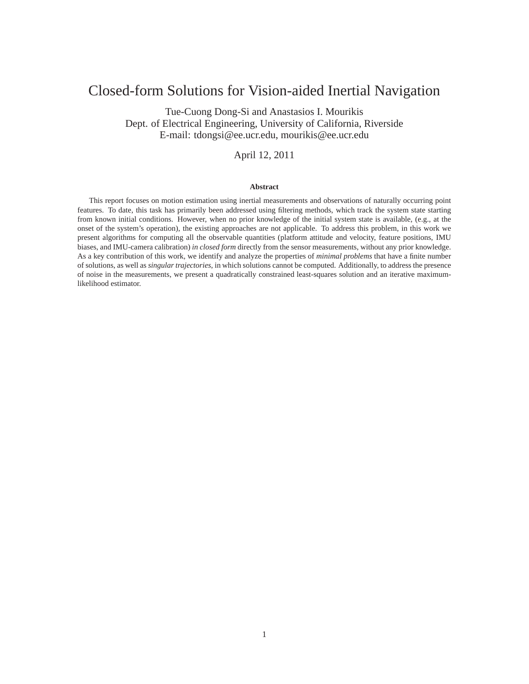# Closed-form Solutions for Vision-aided Inertial Navigation

Tue-Cuong Dong-Si and Anastasios I. Mourikis Dept. of Electrical Engineering, University of California, Riverside E-mail: tdongsi@ee.ucr.edu, mourikis@ee.ucr.edu

### April 12, 2011

#### **Abstract**

This report focuses on motion estimation using inertial measurements and observations of naturally occurring point features. To date, this task has primarily been addressed using filtering methods, which track the system state starting from known initial conditions. However, when no prior knowledge of the initial system state is available, (e.g., at the onset of the system's operation), the existing approaches are not applicable. To address this problem, in this work we present algorithms for computing all the observable quantities (platform attitude and velocity, feature positions, IMU biases, and IMU-camera calibration) *in closed form* directly from the sensor measurements, without any prior knowledge. As a key contribution of this work, we identify and analyze the properties of *minimal problems* that have a finite number of solutions, as well as *singular trajectories*, in which solutions cannot be computed. Additionally, to address the presence of noise in the measurements, we present a quadratically constrained least-squares solution and an iterative maximumlikelihood estimator.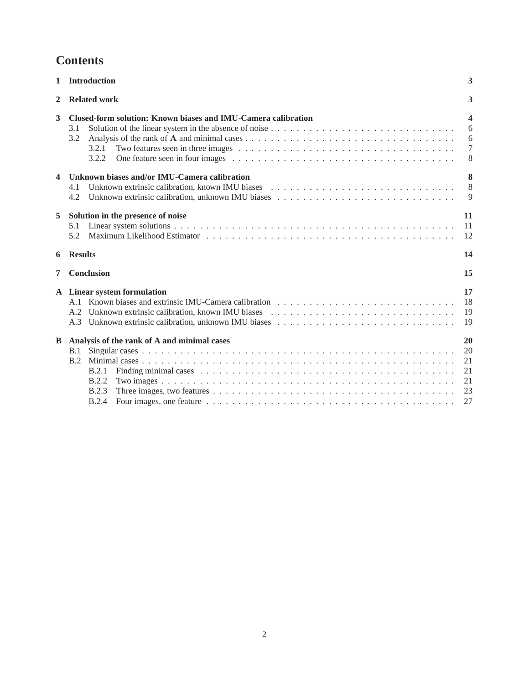# **Contents**

| $\mathbf{1}$ | <b>Introduction</b>                                                                           | 3                          |
|--------------|-----------------------------------------------------------------------------------------------|----------------------------|
| $\mathbf{2}$ | <b>Related work</b>                                                                           | 3                          |
| 3            | Closed-form solution: Known biases and IMU-Camera calibration<br>3.1<br>3.2<br>3.2.1<br>3.2.2 | 4<br>6<br>6<br>$\tau$<br>8 |
| 4            | Unknown biases and/or IMU-Camera calibration<br>4.1<br>4.2                                    | 8<br>8<br>9                |
| 5            | Solution in the presence of noise<br>5.1<br>5.2                                               | 11<br>11<br>12             |
| 6            | <b>Results</b>                                                                                | 14                         |
| 7            | <b>Conclusion</b>                                                                             | 15                         |
|              | A Linear system formulation                                                                   | 17<br>18<br>19<br>19       |
| B            | Analysis of the rank of A and minimal cases<br>B.1<br>B.2                                     | 20<br>20<br>21             |
|              | B.2.1<br><b>B.2.2</b><br><b>B.2.3</b>                                                         | 21<br>21<br>23             |
|              | <b>B.2.4</b>                                                                                  | 27                         |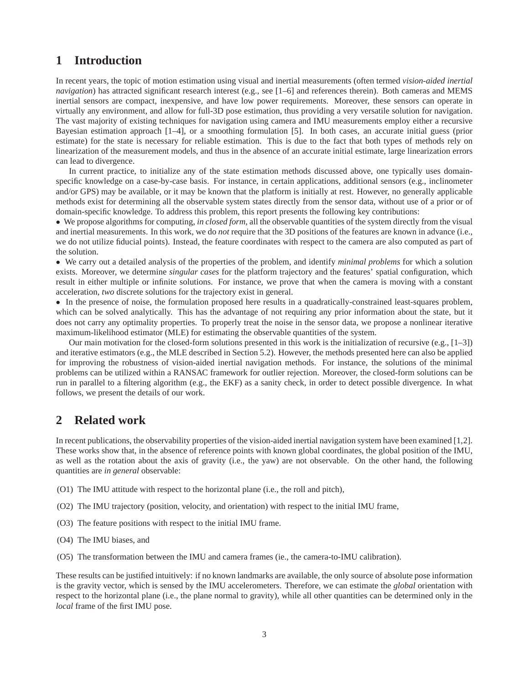# **1 Introduction**

In recent years, the topic of motion estimation using visual and inertial measurements (often termed *vision-aided inertial navigation*) has attracted significant research interest (e.g., see [1–6] and references therein). Both cameras and MEMS inertial sensors are compact, inexpensive, and have low power requirements. Moreover, these sensors can operate in virtually any environment, and allow for full-3D pose estimation, thus providing a very versatile solution for navigation. The vast majority of existing techniques for navigation using camera and IMU measurements employ either a recursive Bayesian estimation approach [1–4], or a smoothing formulation [5]. In both cases, an accurate initial guess (prior estimate) for the state is necessary for reliable estimation. This is due to the fact that both types of methods rely on linearization of the measurement models, and thus in the absence of an accurate initial estimate, large linearization errors can lead to divergence.

In current practice, to initialize any of the state estimation methods discussed above, one typically uses domainspecific knowledge on a case-by-case basis. For instance, in certain applications, additional sensors (e.g., inclinometer and/or GPS) may be available, or it may be known that the platform is initially at rest. However, no generally applicable methods exist for determining all the observable system states directly from the sensor data, without use of a prior or of domain-specific knowledge. To address this problem, this report presents the following key contributions:

• We propose algorithms for computing, *in closed form*, all the observable quantities of the system directly from the visual and inertial measurements. In this work, we do *not* require that the 3D positions of the features are known in advance (i.e., we do not utilize fiducial points). Instead, the feature coordinates with respect to the camera are also computed as part of the solution.

• We carry out a detailed analysis of the properties of the problem, and identify *minimal problems* for which a solution exists. Moreover, we determine *singular cases* for the platform trajectory and the features' spatial configuration, which result in either multiple or infinite solutions. For instance, we prove that when the camera is moving with a constant acceleration, *two* discrete solutions for the trajectory exist in general.

• In the presence of noise, the formulation proposed here results in a quadratically-constrained least-squares problem, which can be solved analytically. This has the advantage of not requiring any prior information about the state, but it does not carry any optimality properties. To properly treat the noise in the sensor data, we propose a nonlinear iterative maximum-likelihood estimator (MLE) for estimating the observable quantities of the system.

Our main motivation for the closed-form solutions presented in this work is the initialization of recursive (e.g., [1–3]) and iterative estimators (e.g., the MLE described in Section 5.2). However, the methods presented here can also be applied for improving the robustness of vision-aided inertial navigation methods. For instance, the solutions of the minimal problems can be utilized within a RANSAC framework for outlier rejection. Moreover, the closed-form solutions can be run in parallel to a filtering algorithm (e.g., the EKF) as a sanity check, in order to detect possible divergence. In what follows, we present the details of our work.

### **2 Related work**

In recent publications, the observability properties of the vision-aided inertial navigation system have been examined [1,2]. These works show that, in the absence of reference points with known global coordinates, the global position of the IMU, as well as the rotation about the axis of gravity (i.e., the yaw) are not observable. On the other hand, the following quantities are *in general* observable:

- (O1) The IMU attitude with respect to the horizontal plane (i.e., the roll and pitch),
- (O2) The IMU trajectory (position, velocity, and orientation) with respect to the initial IMU frame,
- (O3) The feature positions with respect to the initial IMU frame.
- (O4) The IMU biases, and
- (O5) The transformation between the IMU and camera frames (ie., the camera-to-IMU calibration).

These results can be justified intuitively: if no known landmarks are available, the only source of absolute pose information is the gravity vector, which is sensed by the IMU accelerometers. Therefore, we can estimate the *global* orientation with respect to the horizontal plane (i.e., the plane normal to gravity), while all other quantities can be determined only in the *local* frame of the first IMU pose.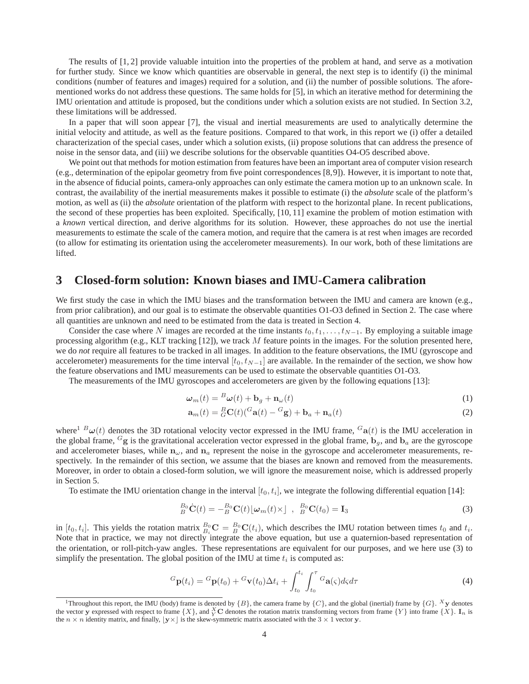The results of [1, 2] provide valuable intuition into the properties of the problem at hand, and serve as a motivation for further study. Since we know which quantities are observable in general, the next step is to identify (i) the minimal conditions (number of features and images) required for a solution, and (ii) the number of possible solutions. The aforementioned works do not address these questions. The same holds for [5], in which an iterative method for determining the IMU orientation and attitude is proposed, but the conditions under which a solution exists are not studied. In Section 3.2, these limitations will be addressed.

In a paper that will soon appear [7], the visual and inertial measurements are used to analytically determine the initial velocity and attitude, as well as the feature positions. Compared to that work, in this report we (i) offer a detailed characterization of the special cases, under which a solution exists, (ii) propose solutions that can address the presence of noise in the sensor data, and (iii) we describe solutions for the observable quantities O4-O5 described above.

We point out that methods for motion estimation from features have been an important area of computer vision research (e.g., determination of the epipolar geometry from five point correspondences [8,9]). However, it is important to note that, in the absence of fiducial points, camera-only approaches can only estimate the camera motion up to an unknown scale. In contrast, the availability of the inertial measurements makes it possible to estimate (i) the *absolute* scale of the platform's motion, as well as (ii) the *absolute* orientation of the platform with respect to the horizontal plane. In recent publications, the second of these properties has been exploited. Specifically, [10, 11] examine the problem of motion estimation with a *known* vertical direction, and derive algorithms for its solution. However, these approaches do not use the inertial measurements to estimate the scale of the camera motion, and require that the camera is at rest when images are recorded (to allow for estimating its orientation using the accelerometer measurements). In our work, both of these limitations are lifted.

## **3 Closed-form solution: Known biases and IMU-Camera calibration**

We first study the case in which the IMU biases and the transformation between the IMU and camera are known (e.g., from prior calibration), and our goal is to estimate the observable quantities O1-O3 defined in Section 2. The case where all quantities are unknown and need to be estimated from the data is treated in Section 4.

Consider the case where N images are recorded at the time instants  $t_0, t_1, \ldots, t_{N-1}$ . By employing a suitable image processing algorithm (e.g., KLT tracking  $[12]$ ), we track M feature points in the images. For the solution presented here, we do *not* require all features to be tracked in all images. In addition to the feature observations, the IMU (gyroscope and accelerometer) measurements for the time interval  $[t_0, t_{N-1}]$  are available. In the remainder of the section, we show how the feature observations and IMU measurements can be used to estimate the observable quantities O1-O3.

The measurements of the IMU gyroscopes and accelerometers are given by the following equations [13]:

$$
\boldsymbol{\omega}_m(t) = \mathbf{^B}\boldsymbol{\omega}(t) + \mathbf{b}_g + \mathbf{n}_{\omega}(t) \tag{1}
$$

$$
\mathbf{a}_m(t) = {}_G^B \mathbf{C}(t) ({}^G \mathbf{a}(t) - {}^G \mathbf{g}) + \mathbf{b}_a + \mathbf{n}_a(t)
$$
\n(2)

where<sup>1</sup>  $B\omega(t)$  denotes the 3D rotational velocity vector expressed in the IMU frame,  $Ga(t)$  is the IMU acceleration in the global frame,  $G_g$  is the gravitational acceleration vector expressed in the global frame,  $b_g$ , and  $b_a$  are the gyroscope and accelerometer biases, while  $n_{\omega}$ , and  $n_a$  represent the noise in the gyroscope and accelerometer measurements, respectively. In the remainder of this section, we assume that the biases are known and removed from the measurements. Moreover, in order to obtain a closed-form solution, we will ignore the measurement noise, which is addressed properly in Section 5.

To estimate the IMU orientation change in the interval  $[t_0, t_i]$ , we integrate the following differential equation [14]:

$$
{}_{B}^{B_{0}}\dot{\mathbf{C}}(t) = -{}_{B}^{B_{0}}\mathbf{C}(t)\lfloor \boldsymbol{\omega}_{m}(t) \times \rfloor , \quad {}_{B}^{B_{0}}\mathbf{C}(t_{0}) = \mathbf{I}_{3}
$$
\n(3)

in [ $t_0, t_i$ ]. This yields the rotation matrix  ${}_{B_i}^{B_0}$ **C** =  ${}_{B}^{B_0}$ **C**( $t_i$ ), which describes the IMU rotation between times  $t_0$  and  $t_i$ . Note that in practice, we may not directly integrate the above equation, but use a quaternion-based representation of the orientation, or roll-pitch-yaw angles. These representations are equivalent for our purposes, and we here use (3) to simplify the presentation. The global position of the IMU at time  $t_i$  is computed as:

$$
{}^{G}\mathbf{p}(t_i) = {}^{G}\mathbf{p}(t_0) + {}^{G}\mathbf{v}(t_0)\Delta t_i + \int_{t_0}^{t_i} \int_{t_0}^{\tau} {}^{G}\mathbf{a}(\varsigma) d\varsigma d\tau
$$
\n(4)

<sup>&</sup>lt;sup>1</sup>Throughout this report, the IMU (body) frame is denoted by  $\{B\}$ , the camera frame by  $\{C\}$ , and the global (inertial) frame by  $\{G\}$ . <sup>X</sup>y denotes the vector y expressed with respect to frame  $\{X\}$ , and  $_X^X$ C denotes the rotation matrix transforming vectors from frame  $\{Y\}$  into frame  $\{X\}$ .  $I_n$  is the  $n \times n$  identity matrix, and finally,  $|y \times \rangle$  is the skew-symmetric matrix associated with the 3  $\times$  1 vector y.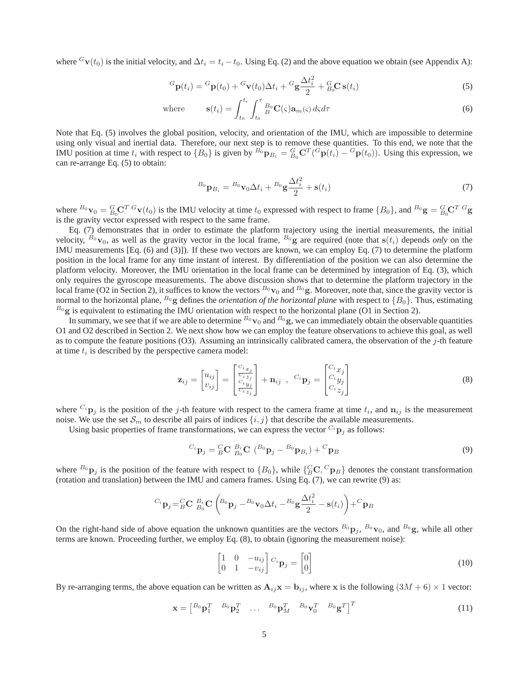where  $G_{\mathbf{V}}(t_0)$  is the initial velocity, and  $\Delta t_i = t_i - t_0$ . Using Eq. (2) and the above equation we obtain (see Appendix A):

$$
{}^{G}\mathbf{p}(t_i) = {}^{G}\mathbf{p}(t_0) + {}^{G}\mathbf{v}(t_0)\Delta t_i + {}^{G}\mathbf{g}\frac{\Delta t_i^2}{2} + {}^{G}_{B_0}\mathbf{C}\,\mathbf{s}(t_i)
$$
\n<sup>(5)</sup>

where 
$$
\mathbf{s}(t_i) = \int_{t_0}^{t_i} \int_{t_0}^{\tau} B_0 \mathbf{C}(\varsigma) \mathbf{a}_m(\varsigma) d\varsigma d\tau
$$
 (6)

Note that Eq. (5) involves the global position, velocity, and orientation of the IMU, which are impossible to determine using only visual and inertial data. Therefore, our next step is to remove these quantities. To this end, we note that the IMU position at time  $t_i$  with respect to  $\{B_0\}$  is given by  ${}^{B_0}P_{B_i} = {}^{G}_{B_0}C^T({}^G{\bf p}(t_i) - {}^G{\bf p}(t_0))$ . Using this expression, we can re-arrange Eq. (5) to obtain:

$$
{}^{B_0}\mathbf{p}_{B_i} = {}^{B_0}\mathbf{v}_0 \Delta t_i + {}^{B_0}\mathbf{g}\frac{\Delta t_i^2}{2} + \mathbf{s}(t_i)
$$
\n<sup>(7)</sup>

where  ${}^{B_0}\mathbf{v}_0 = {}^{G}_{B_0}\mathbf{C}^T {}^{G}\mathbf{v}(t_0)$  is the IMU velocity at time  $t_0$  expressed with respect to frame  $\{B_0\}$ , and  ${}^{B_0}\mathbf{g} = {}^{G}_{B_0}\mathbf{C}^T {}^{G}\mathbf{g}$ is the gravity vector expressed with respect to the same frame.

Eq. (7) demonstrates that in order to estimate the platform trajectory using the inertial measurements, the initial velocity,  $B_0$  v<sub>0</sub>, as well as the gravity vector in the local frame,  $B_0$  g are required (note that  $s(t_i)$ ) depends *only* on the IMU measurements [Eq. (6) and (3)]). If these two vectors are known, we can employ Eq. (7) to determine the platform position in the local frame for any time instant of interest. By differentiation of the position we can also determine the platform velocity. Moreover, the IMU orientation in the local frame can be determined by integration of Eq. (3), which only requires the gyroscope measurements. The above discussion shows that to determine the platform trajectory in the local frame (O2 in Section 2), it suffices to know the vectors  $B_0$  v<sub>0</sub> and  $B_0$  g. Moreover, note that, since the gravity vector is normal to the horizontal plane,  $^{B_0}$ g defines the *orientation of the horizontal plane* with respect to  $\{B_0\}$ . Thus, estimating  $^{B_0}$ g is equivalent to estimating the IMU orientation with respect to the horizontal plane (O1 in Section 2).

In summary, we see that if we are able to determine  $B_0$  v<sub>0</sub> and  $B_0$  g, we can immediately obtain the observable quantities O1 and O2 described in Section 2. We next show how we can employ the feature observations to achieve this goal, as well as to compute the feature positions  $(O3)$ . Assuming an intrinsically calibrated camera, the observation of the j-th feature at time  $t_i$  is described by the perspective camera model:

$$
\mathbf{z}_{ij} = \begin{bmatrix} u_{ij} \\ v_{ij} \end{bmatrix} = \begin{bmatrix} \frac{C_{i,x_j}}{C_{i,z_j}} \\ \frac{C_{i,y_j}}{C_{i,z_j}} \end{bmatrix} + \mathbf{n}_{ij} \ , \ C_i \mathbf{p}_j = \begin{bmatrix} C_{i,x_j} \\ C_{i,y_j} \\ C_{i,z_j} \end{bmatrix}
$$
(8)

where  $C_i$   $\mathbf{p}_j$  is the position of the j-th feature with respect to the camera frame at time  $t_i$ , and  $\mathbf{n}_{ij}$  is the measurement noise. We use the set  $\mathcal{S}_m$  to describe all pairs of indices  $\{i, j\}$  that describe the available measurements.

Using basic properties of frame transformations, we can express the vector  $C_i$   $\mathbf{p}_i$  as follows:

$$
^{C_i}\mathbf{p}_j = ^C_B\mathbf{C} \; ^{B_i}_{B_0}\mathbf{C} \; (^{B_0}\mathbf{p}_j - ^{B_0}\mathbf{p}_{B_i}) + ^C\mathbf{p}_B \tag{9}
$$

where  $B_0$   $\mathbf{p}_j$  is the position of the feature with respect to  ${B_0}$ , while  ${C_0 C, C_p}$  anotes the constant transformation (rotation and translation) between the IMU and camera frames. Using Eq. (7), we can rewrite (9) as:

$$
^{C_i}\mathbf{p}_j = ^C_B\mathbf{C}~^{B_i}_{B_0}\mathbf{C}\left(^{B_0}\mathbf{p}_j - ^{B_0}\mathbf{v}_0\Delta t_i - ^{B_0}\mathbf{g}\frac{\Delta t_i^2}{2} - \mathbf{s}(t_i)\right) + ^C\mathbf{p}_B
$$

On the right-hand side of above equation the unknown quantities are the vectors  $B_0$   $\mathbf{p}_j$ ,  $B_0$   $\mathbf{v}_0$ , and  $B_0$  g, while all other terms are known. Proceeding further, we employ Eq. (8), to obtain (ignoring the measurement noise):

$$
\begin{bmatrix} 1 & 0 & -u_{ij} \\ 0 & 1 & -v_{ij} \end{bmatrix} C_i \mathbf{p}_j = \begin{bmatrix} 0 \\ 0 \end{bmatrix}
$$
 (10)

By re-arranging terms, the above equation can be written as  $A_{ij}x = b_{ij}$ , where x is the following  $(3M + 6) \times 1$  vector:

$$
\mathbf{x} = \begin{bmatrix} B_0 \mathbf{p}_1^T & B_0 \mathbf{p}_2^T & \dots & B_0 \mathbf{p}_M^T & B_0 \mathbf{v}_0^T & B_0 \mathbf{g}^T \end{bmatrix}^T \tag{11}
$$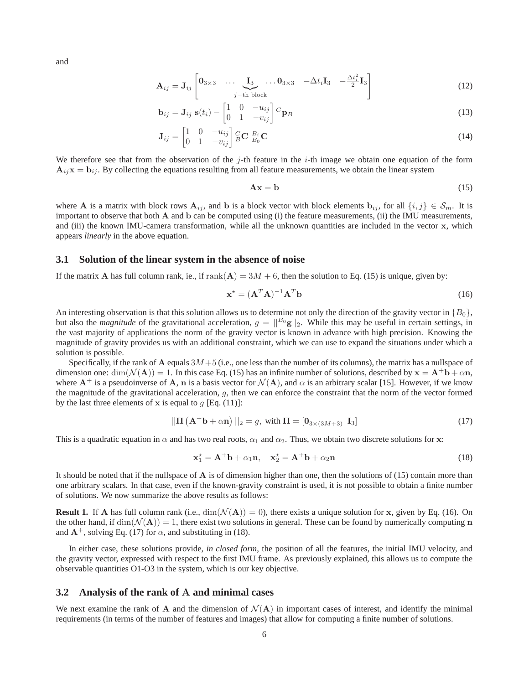and

$$
\mathbf{A}_{ij} = \mathbf{J}_{ij} \begin{bmatrix} \mathbf{0}_{3 \times 3} & \cdots & \mathbf{I}_{3} & \cdots & \mathbf{0}_{3 \times 3} & -\Delta t_{i} \mathbf{I}_{3} & -\frac{\Delta t_{i}^{2}}{2} \mathbf{I}_{3} \\ \vdots & \vdots & \ddots & \vdots \\ \mathbf{0}_{3 \times 3} & \cdots & \mathbf{0}_{3 \times 3} & -\Delta t_{i} \mathbf{I}_{3} & -\frac{\Delta t_{i}^{2}}{2} \mathbf{I}_{3} \end{bmatrix} \tag{12}
$$

$$
\mathbf{b}_{ij} = \mathbf{J}_{ij} \ \mathbf{s}(t_i) - \begin{bmatrix} 1 & 0 & -u_{ij} \\ 0 & 1 & -v_{ij} \end{bmatrix} \, C_{\mathbf{p}_B} \tag{13}
$$

$$
\mathbf{J}_{ij} = \begin{bmatrix} 1 & 0 & -u_{ij} \\ 0 & 1 & -v_{ij} \end{bmatrix} \begin{matrix} C & B_i \\ B & D_i \end{matrix} \mathbf{C}
$$
 (14)

We therefore see that from the observation of the j-th feature in the  $i$ -th image we obtain one equation of the form  $A_{ij}x = b_{ij}$ . By collecting the equations resulting from all feature measurements, we obtain the linear system

$$
Ax = b \tag{15}
$$

where A is a matrix with block rows  $A_{ij}$ , and b is a block vector with block elements  $b_{ij}$ , for all  $\{i, j\} \in S_m$ . It is important to observe that both  $\bf{A}$  and  $\bf{b}$  can be computed using (i) the feature measurements, (ii) the IMU measurements, and (iii) the known IMU-camera transformation, while all the unknown quantities are included in the vector x, which appears *linearly* in the above equation.

### **3.1 Solution of the linear system in the absence of noise**

If the matrix A has full column rank, ie., if  $rank(A) = 3M + 6$ , then the solution to Eq. (15) is unique, given by:

$$
\mathbf{x}^* = (\mathbf{A}^T \mathbf{A})^{-1} \mathbf{A}^T \mathbf{b}
$$
 (16)

An interesting observation is that this solution allows us to determine not only the direction of the gravity vector in  $\{B_0\}$ , but also the *magnitude* of the gravitational acceleration,  $g = ||B_0 g||_2$ . While this may be useful in certain settings, in the vast majority of applications the norm of the gravity vector is known in advance with high precision. Knowing the magnitude of gravity provides us with an additional constraint, which we can use to expand the situations under which a solution is possible.

Specifically, if the rank of A equals  $3M+5$  (i.e., one less than the number of its columns), the matrix has a nullspace of dimension one:  $dim(\mathcal{N}(A)) = 1$ . In this case Eq. (15) has an infinite number of solutions, described by  $x = A^+b + \alpha n$ , where  $A^+$  is a pseudoinverse of A, n is a basis vector for  $\mathcal{N}(A)$ , and  $\alpha$  is an arbitrary scalar [15]. However, if we know the magnitude of the gravitational acceleration, g, then we can enforce the constraint that the norm of the vector formed by the last three elements of x is equal to  $q$  [Eq. (11)]:

$$
\|\Pi\left(\mathbf{A}^+\mathbf{b}+\alpha\mathbf{n}\right)\|_2 = g, \text{ with } \Pi = \begin{bmatrix} 0_{3\times(3M+3)} & \mathbf{I}_3 \end{bmatrix}
$$
\n(17)

This is a quadratic equation in  $\alpha$  and has two real roots,  $\alpha_1$  and  $\alpha_2$ . Thus, we obtain two discrete solutions for x:

$$
\mathbf{x}_1^* = \mathbf{A}^+ \mathbf{b} + \alpha_1 \mathbf{n}, \quad \mathbf{x}_2^* = \mathbf{A}^+ \mathbf{b} + \alpha_2 \mathbf{n}
$$
 (18)

It should be noted that if the nullspace of  $\bf{A}$  is of dimension higher than one, then the solutions of (15) contain more than one arbitrary scalars. In that case, even if the known-gravity constraint is used, it is not possible to obtain a finite number of solutions. We now summarize the above results as follows:

**Result 1.** If A has full column rank (i.e.,  $\dim(\mathcal{N}(A)) = 0$ ), there exists a unique solution for x, given by Eq. (16). On the other hand, if  $\dim(\mathcal{N}(\mathbf{A})) = 1$ , there exist two solutions in general. These can be found by numerically computing n and  $A^+$ , solving Eq. (17) for  $\alpha$ , and substituting in (18).

In either case, these solutions provide, *in closed form*, the position of all the features, the initial IMU velocity, and the gravity vector, expressed with respect to the first IMU frame. As previously explained, this allows us to compute the observable quantities O1-O3 in the system, which is our key objective.

### **3.2 Analysis of the rank of** A **and minimal cases**

We next examine the rank of A and the dimension of  $\mathcal{N}(A)$  in important cases of interest, and identify the minimal requirements (in terms of the number of features and images) that allow for computing a finite number of solutions.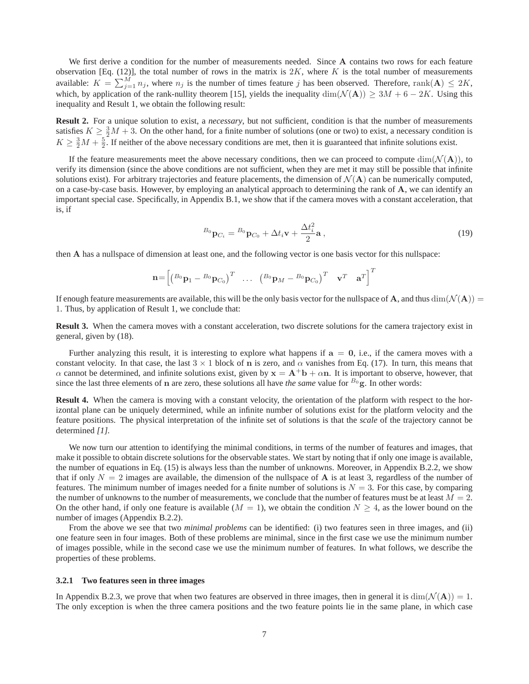We first derive a condition for the number of measurements needed. Since A contains two rows for each feature observation [Eq. (12)], the total number of rows in the matrix is  $2K$ , where K is the total number of measurements available:  $K = \sum_{j=1}^{M} n_j$ , where  $n_j$  is the number of times feature j has been observed. Therefore, rank $(A) \leq 2K$ , which, by application of the rank-nullity theorem [15], yields the inequality  $\dim(\mathcal{N}(\mathbf{A})) \geq 3M + 6 - 2K$ . Using this inequality and Result 1, we obtain the following result:

**Result 2.** For a unique solution to exist, a *necessary*, but not sufficient, condition is that the number of measurements satisfies  $K \ge \frac{3}{2}M + 3$ . On the other hand, for a finite number of solutions (one or two) to exist, a necessary condition is  $K \geq \frac{3}{2}M + \frac{5}{2}$ . If neither of the above necessary conditions are met, then it is guaranteed that infinite solutions exist.

If the feature measurements meet the above necessary conditions, then we can proceed to compute  $\dim(\mathcal{N}(\mathbf{A}))$ , to verify its dimension (since the above conditions are not sufficient, when they are met it may still be possible that infinite solutions exist). For arbitrary trajectories and feature placements, the dimension of  $\mathcal{N}(\mathbf{A})$  can be numerically computed, on a case-by-case basis. However, by employing an analytical approach to determining the rank of A, we can identify an important special case. Specifically, in Appendix B.1, we show that if the camera moves with a constant acceleration, that is, if

$$
B_0 \mathbf{p}_{C_i} = B_0 \mathbf{p}_{C_0} + \Delta t_i \mathbf{v} + \frac{\Delta t_i^2}{2} \mathbf{a},\tag{19}
$$

then A has a nullspace of dimension at least one, and the following vector is one basis vector for this nullspace:

$$
\mathbf{n} = \begin{bmatrix} \begin{pmatrix} B_0 & B_1 & -B_0 & B_0 \end{pmatrix}^T & \dots & \begin{pmatrix} B_0 & B_M & -B_0 & B_0 \end{pmatrix}^T & \mathbf{v}^T & \mathbf{a}^T \end{bmatrix}^T
$$

If enough feature measurements are available, this will be the only basis vector for the nullspace of A, and thus  $\dim(\mathcal{N}(A))$ 1. Thus, by application of Result 1, we conclude that:

**Result 3.** When the camera moves with a constant acceleration, two discrete solutions for the camera trajectory exist in general, given by (18).

Further analyzing this result, it is interesting to explore what happens if  $a = 0$ , i.e., if the camera moves with a constant velocity. In that case, the last  $3 \times 1$  block of n is zero, and  $\alpha$  vanishes from Eq. (17). In turn, this means that  $\alpha$  cannot be determined, and infinite solutions exist, given by  $x = A^+b + \alpha n$ . It is important to observe, however, that since the last three elements of  $n$  are zero, these solutions all have *the same* value for  $B_0$  g. In other words:

**Result 4.** When the camera is moving with a constant velocity, the orientation of the platform with respect to the horizontal plane can be uniquely determined, while an infinite number of solutions exist for the platform velocity and the feature positions. The physical interpretation of the infinite set of solutions is that the *scale* of the trajectory cannot be determined *[1].*

We now turn our attention to identifying the minimal conditions, in terms of the number of features and images, that make it possible to obtain discrete solutions for the observable states. We start by noting that if only one image is available, the number of equations in Eq. (15) is always less than the number of unknowns. Moreover, in Appendix B.2.2, we show that if only  $N = 2$  images are available, the dimension of the nullspace of **A** is at least 3, regardless of the number of features. The minimum number of images needed for a finite number of solutions is  $N = 3$ . For this case, by comparing the number of unknowns to the number of measurements, we conclude that the number of features must be at least  $M = 2$ . On the other hand, if only one feature is available  $(M = 1)$ , we obtain the condition  $N \geq 4$ , as the lower bound on the number of images (Appendix B.2.2).

From the above we see that two *minimal problems* can be identified: (i) two features seen in three images, and (ii) one feature seen in four images. Both of these problems are minimal, since in the first case we use the minimum number of images possible, while in the second case we use the minimum number of features. In what follows, we describe the properties of these problems.

#### **3.2.1 Two features seen in three images**

In Appendix B.2.3, we prove that when two features are observed in three images, then in general it is  $dim(\mathcal{N}(A)) = 1$ . The only exception is when the three camera positions and the two feature points lie in the same plane, in which case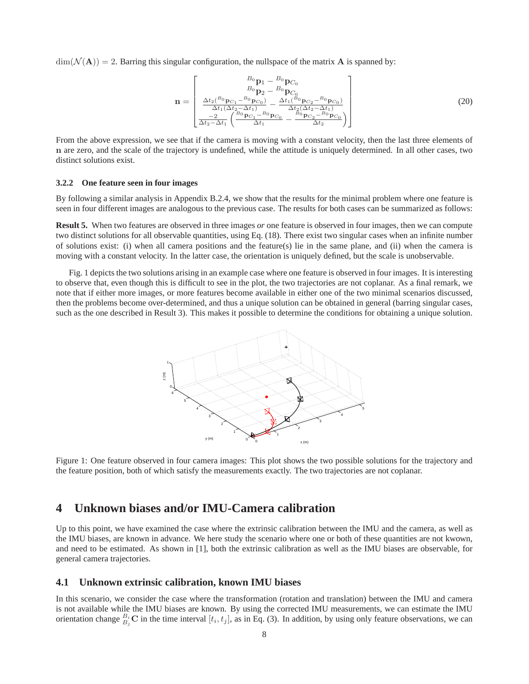$\dim(\mathcal{N}(\mathbf{A})) = 2$ . Barring this singular configuration, the nullspace of the matrix **A** is spanned by:

$$
\mathbf{n} = \begin{bmatrix} B_0 \mathbf{p}_1 - B_0 \mathbf{p}_{C_0} \\ B_0 \mathbf{p}_2 - B_0 \mathbf{p}_{C_0} \\ \frac{\Delta t_2(^{B_0}\mathbf{p}_{C_1} - B_0 \mathbf{p}_{C_0})}{\Delta t_1 (\Delta t_2 - \Delta t_1)} - \frac{\Delta t_1(^{B_0}\mathbf{p}_{C_2} - B_0 \mathbf{p}_{C_0})}{\Delta t_2 (\Delta t_2 - \Delta t_1)} \\ \frac{-2}{\Delta t_2 - \Delta t_1} \left( \frac{B_0 \mathbf{p}_{C_1} - B_0 \mathbf{p}_{C_0}}{\Delta t_1} - \frac{B_0 \mathbf{p}_{C_2} - B_0 \mathbf{p}_{C_0}}{\Delta t_2} \right) \end{bmatrix}
$$
(20)

From the above expression, we see that if the camera is moving with a constant velocity, then the last three elements of n are zero, and the scale of the trajectory is undefined, while the attitude is uniquely determined. In all other cases, two distinct solutions exist.

#### **3.2.2 One feature seen in four images**

By following a similar analysis in Appendix B.2.4, we show that the results for the minimal problem where one feature is seen in four different images are analogous to the previous case. The results for both cases can be summarized as follows:

**Result 5.** When two features are observed in three images *or* one feature is observed in four images, then we can compute two distinct solutions for all observable quantities, using Eq. (18). There exist two singular cases when an infinite number of solutions exist: (i) when all camera positions and the feature(s) lie in the same plane, and (ii) when the camera is moving with a constant velocity. In the latter case, the orientation is uniquely defined, but the scale is unobservable.

Fig. 1 depicts the two solutions arising in an example case where one feature is observed in four images. It is interesting to observe that, even though this is difficult to see in the plot, the two trajectories are not coplanar. As a final remark, we note that if either more images, or more features become available in either one of the two minimal scenarios discussed, then the problems become over-determined, and thus a unique solution can be obtained in general (barring singular cases, such as the one described in Result 3). This makes it possible to determine the conditions for obtaining a unique solution.



Figure 1: One feature observed in four camera images: This plot shows the two possible solutions for the trajectory and the feature position, both of which satisfy the measurements exactly. The two trajectories are not coplanar.

## **4 Unknown biases and/or IMU-Camera calibration**

Up to this point, we have examined the case where the extrinsic calibration between the IMU and the camera, as well as the IMU biases, are known in advance. We here study the scenario where one or both of these quantities are not kwown, and need to be estimated. As shown in [1], both the extrinsic calibration as well as the IMU biases are observable, for general camera trajectories.

### **4.1 Unknown extrinsic calibration, known IMU biases**

In this scenario, we consider the case where the transformation (rotation and translation) between the IMU and camera is not available while the IMU biases are known. By using the corrected IMU measurements, we can estimate the IMU orientation change  $B_i$ <sup>t</sup>  $\sum$  in the time interval  $[t_i, t_j]$ , as in Eq. (3). In addition, by using only feature observations, we can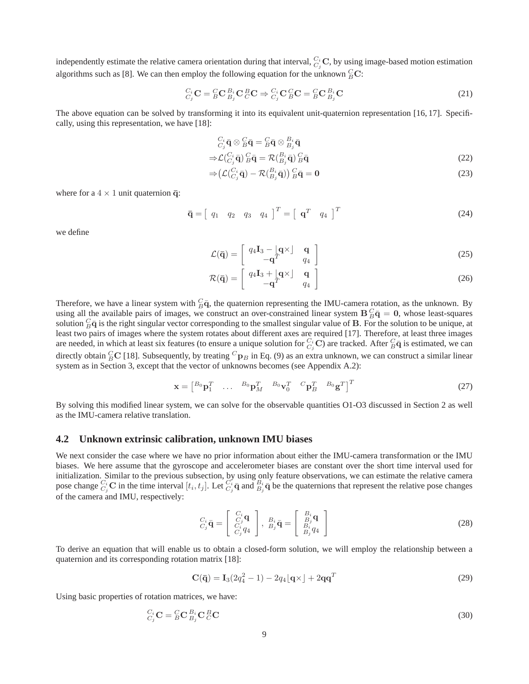independently estimate the relative camera orientation during that interval,  $C_i$ , C, by using image-based motion estimation algorithms such as [8]. We can then employ the following equation for the unknown  ${}^{C}_{B}$ C:

$$
C_i^i \mathbf{C} = {}^C_B \mathbf{C} {}^B_{B_j} \mathbf{C} {}^B_C \mathbf{C} \Rightarrow C_i^i \mathbf{C} {}^C_B \mathbf{C} = {}^C_B \mathbf{C} {}^B_{B_j} \mathbf{C}
$$
(21)

The above equation can be solved by transforming it into its equivalent unit-quaternion representation [16, 17]. Specifically, using this representation, we have [18]:

$$
C_i \overline{\mathbf{q}} \otimes B \overline{\mathbf{q}} = B \overline{\mathbf{q}} \otimes B_i \overline{\mathbf{q}}
$$

$$
\Rightarrow \mathcal{L}(C_i, \bar{\mathbf{q}}) \, g \bar{\mathbf{q}} = \mathcal{R}(B_i, \bar{\mathbf{q}}) \, g \bar{\mathbf{q}} \tag{22}
$$

$$
\Rightarrow \left( \mathcal{L} \left( \begin{matrix} C_i \\ C_j \bar{\mathbf{q}} \end{matrix} \right) - \mathcal{R} \left( \begin{matrix} B_i \\ B_j \bar{\mathbf{q}} \end{matrix} \right) \right) \begin{matrix} C \\ B \bar{\mathbf{q}} \end{matrix} = \mathbf{0} \tag{23}
$$

where for a  $4 \times 1$  unit quaternion  $\overline{q}$ :

$$
\overline{\mathbf{q}} = \begin{bmatrix} q_1 & q_2 & q_3 & q_4 \end{bmatrix}^T = \begin{bmatrix} \mathbf{q}^T & q_4 \end{bmatrix}^T \tag{24}
$$

we define

$$
\mathcal{L}(\bar{\mathbf{q}}) = \begin{bmatrix} q_4 \mathbf{I}_3 - \begin{bmatrix} \mathbf{q} \times \end{bmatrix} & \mathbf{q} \\ -\mathbf{q}^T & q_4 \end{bmatrix} \tag{25}
$$

$$
\mathcal{R}(\mathbf{\bar{q}}) = \begin{bmatrix} q_4 \mathbf{I}_3 + \begin{bmatrix} \mathbf{q} \times \end{bmatrix} & \mathbf{q} \\ -\mathbf{q}^T & q_4 \end{bmatrix} \tag{26}
$$

Therefore, we have a linear system with  $\frac{C}{B}\bar{q}$ , the quaternion representing the IMU-camera rotation, as the unknown. By using all the available pairs of images, we construct an over-constrained linear system  $B_E^C \bar{q} = 0$ , whose least-squares solution  ${}_{B}^{C}\bar{q}$  is the right singular vector corresponding to the smallest singular value of B. For the solution to be unique, at least two pairs of images where the system rotates about different axes are required [17]. Therefore, at least three images are needed, in which at least six features (to ensure a unique solution for  $C_i$  C) are tracked. After  ${}^C_B\bar{q}$  is estimated, we can directly obtain  $^C_B$ C [18]. Subsequently, by treating  $^Cp_B$  in Eq. (9) as an extra unknown, we can construct a similar linear system as in Section 3, except that the vector of unknowns becomes (see Appendix A.2):

$$
\mathbf{x} = \begin{bmatrix} B_0 \mathbf{p}_1^T & \dots & B_0 \mathbf{p}_M^T & B_0 \mathbf{v}_0^T & C \mathbf{p}_B^T & B_0 \mathbf{g}^T \end{bmatrix}^T
$$
(27)

By solving this modified linear system, we can solve for the observable quantities O1-O3 discussed in Section 2 as well as the IMU-camera relative translation.

### **4.2 Unknown extrinsic calibration, unknown IMU biases**

We next consider the case where we have no prior information about either the IMU-camera transformation or the IMU biases. We here assume that the gyroscope and accelerometer biases are constant over the short time interval used for initialization. Similar to the previous subsection, by using only feature observations, we can estimate the relative camera pose change  $C_i$  C in the time interval  $[t_i, t_j]$ . Let  $C_i$   $\bar{q}$  and  $B_i$   $\bar{q}$  be the quaternions that represent the relative pose changes of the camera and IMU, respectively:

$$
C_i \overline{\mathbf{q}} = \begin{bmatrix} C_i & \mathbf{q} \\ C_j & \mathbf{q} \\ C_i & q_4 \end{bmatrix}, \ B_i \overline{\mathbf{q}} = \begin{bmatrix} B_i & \mathbf{q} \\ B_j & \mathbf{q} \\ B_i & q_4 \end{bmatrix}
$$
(28)

To derive an equation that will enable us to obtain a closed-form solution, we will employ the relationship between a quaternion and its corresponding rotation matrix [18]:

$$
\mathbf{C}(\mathbf{\bar{q}}) = \mathbf{I}_3(2q_4^2 - 1) - 2q_4 \lfloor \mathbf{q} \times \rfloor + 2\mathbf{q} \mathbf{q}^T
$$
\n(29)

Using basic properties of rotation matrices, we have:

$$
{}_{C_j}^{C_i} \mathbf{C} = {}_{B}^{C} \mathbf{C} {}_{B_j}^{B_i} \mathbf{C} {}_{C}^{B} \mathbf{C}
$$
 (30)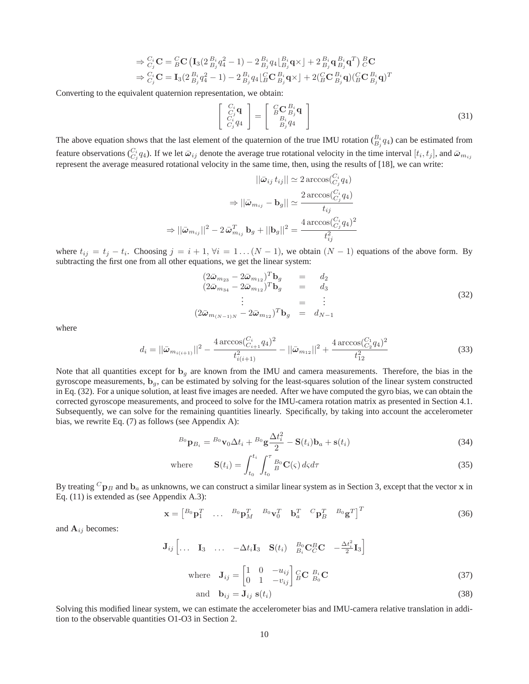$$
\Rightarrow \begin{aligned} &\xrightarrow{C_i} \mathbf{C} = {}_{B}^{C} \mathbf{C} \left( \mathbf{I}_3 (2 \frac{B_i}{B_j} q_4^2 - 1) - 2 \frac{B_i}{B_j} q_4 \Big|_{B_j}^{B_i} \mathbf{q} \times \right) + 2 \frac{B_i}{B_j} \mathbf{q} \frac{B_i}{B_j} \mathbf{q}^T \right) \stackrel{B}{C} \mathbf{C} \\ &\Rightarrow \frac{C_i}{C_j} \mathbf{C} = \mathbf{I}_3 (2 \frac{B_i}{B_j} q_4^2 - 1) - 2 \frac{B_i}{B_j} q_4 \Big|_{B}^{C} \mathbf{C} \frac{B_i}{B_j} \mathbf{q} \times \Big] + 2 \Big( {}_{B}^{C} \mathbf{C} \frac{B_i}{B_j} \mathbf{q} \Big) \Big( {}_{B}^{C} \mathbf{C} \frac{B_i}{B_j} \mathbf{q} \Big)^T \end{aligned}
$$

Converting to the equivalent quaternion representation, we obtain:

$$
\begin{bmatrix}\nC_i \mathbf{q} \\
C_j \mathbf{q} \\
C_i q_4\n\end{bmatrix} = \begin{bmatrix}\nC \mathbf{C}^{B_i} \mathbf{q} \\
B_i B_j q_4 \\
B_j q_4\n\end{bmatrix}
$$
\n(31)

The above equation shows that the last element of the quaternion of the true IMU rotation  $B_j^q(q_4)$  can be estimated from feature observations  $C_{i}^{i}q_{4}$ ). If we let  $\bar{\omega}_{ij}$  denote the average true rotational velocity in the time interval  $[t_i, t_j]$ , and  $\bar{\omega}_{m_{ij}}$ represent the average measured rotational velocity in the same time, then, using the results of [18], we can write:

$$
||\bar{\omega}_{ij} t_{ij}|| \simeq 2 \arccos(\frac{C_i}{C_j} q_4)
$$

$$
\Rightarrow ||\bar{\omega}_{m_{ij}} - \mathbf{b}_g|| \simeq \frac{2 \arccos(\frac{C_i}{C_j} q_4)}{t_{ij}}
$$

$$
\Rightarrow ||\bar{\omega}_{m_{ij}}||^2 - 2 \bar{\omega}_{m_{ij}}^T \mathbf{b}_g + ||\mathbf{b}_g||^2 = \frac{4 \arccos(\frac{C_i}{C_j} q_4)^2}{t_{ij}^2}
$$

where  $t_{ij} = t_j - t_i$ . Choosing  $j = i + 1, \forall i = 1 \dots (N - 1)$ , we obtain  $(N - 1)$  equations of the above form. By subtracting the first one from all other equations, we get the linear system:

$$
\begin{array}{rcl}\n(2\bar{\omega}_{m_{23}} - 2\bar{\omega}_{m_{12}})^T \mathbf{b}_g &=& d_2 \\
(2\bar{\omega}_{m_{34}} - 2\bar{\omega}_{m_{12}})^T \mathbf{b}_g &=& d_3 \\
\vdots &=& \vdots \\
(2\bar{\omega}_{m_{(N-1)N}} - 2\bar{\omega}_{m_{12}})^T \mathbf{b}_g &=& d_{N-1}\n\end{array} \tag{32}
$$

where

$$
d_i = ||\bar{\omega}_{m_{i(i+1)}}||^2 - \frac{4 \arccos(\frac{C_i}{C_{i+1}} q_4)^2}{t_{i(i+1)}^2} - ||\bar{\omega}_{m_{12}}||^2 + \frac{4 \arccos(\frac{C_1}{C_2} q_4)^2}{t_{12}^2}
$$
(33)

Note that all quantities except for  $b<sub>g</sub>$  are known from the IMU and camera measurements. Therefore, the bias in the gyroscope measurements,  $\mathbf{b}_q$ , can be estimated by solving for the least-squares solution of the linear system constructed in Eq. (32). For a unique solution, at least five images are needed. After we have computed the gyro bias, we can obtain the corrected gyroscope measurements, and proceed to solve for the IMU-camera rotation matrix as presented in Section 4.1. Subsequently, we can solve for the remaining quantities linearly. Specifically, by taking into account the accelerometer bias, we rewrite Eq. (7) as follows (see Appendix A):

$$
{}^{B_0}\mathbf{p}_{B_i} = {}^{B_0}\mathbf{v}_0 \Delta t_i + {}^{B_0}\mathbf{g}\frac{\Delta t_i^2}{2} - \mathbf{S}(t_i)\mathbf{b}_a + \mathbf{s}(t_i)
$$
\n(34)

where 
$$
\mathbf{S}(t_i) = \int_{t_0}^{t_i} \int_{t_0}^{\tau} B_0 \mathbf{C}(\zeta) d\zeta d\tau
$$
 (35)

By treating  ${}^{C}p_B$  and  $b_a$  as unknowns, we can construct a similar linear system as in Section 3, except that the vector x in Eq. (11) is extended as (see Appendix A.3):

$$
\mathbf{x} = \begin{bmatrix} B_0 \mathbf{p}_1^T & \dots & B_0 \mathbf{p}_M^T & B_0 \mathbf{v}_0^T & \mathbf{b}_a^T & ^C \mathbf{p}_B^T & ^B \mathbf{g}^T \end{bmatrix}^T
$$
(36)

and  $A_{ij}$  becomes:

$$
\mathbf{J}_{ij} \begin{bmatrix} \dots & \mathbf{I}_3 & \dots & -\Delta t_i \mathbf{I}_3 & \mathbf{S}(t_i) & \frac{B_0}{B_i} \mathbf{C}_C^B \mathbf{C} & -\frac{\Delta t_i^2}{2} \mathbf{I}_3 \end{bmatrix}
$$
  
where 
$$
\mathbf{J}_{ij} = \begin{bmatrix} 1 & 0 & -u_{ij} \\ 0 & 1 & -v_{ij} \end{bmatrix} \begin{bmatrix} C & B_i \\ B & D_i \end{bmatrix} \mathbf{C}
$$
 (37)

and 
$$
\mathbf{b}_{ij} = \mathbf{J}_{ij} \mathbf{s}(t_i)
$$
 (38)

Solving this modified linear system, we can estimate the accelerometer bias and IMU-camera relative translation in addition to the observable quantities O1-O3 in Section 2.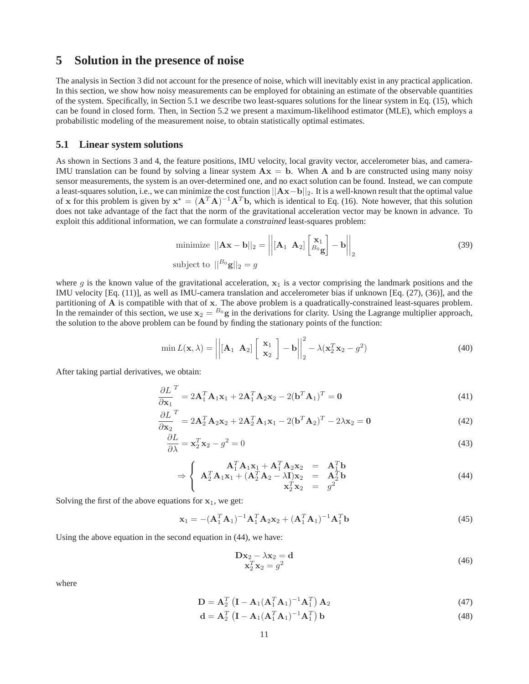# **5 Solution in the presence of noise**

The analysis in Section 3 did not account for the presence of noise, which will inevitably exist in any practical application. In this section, we show how noisy measurements can be employed for obtaining an estimate of the observable quantities of the system. Specifically, in Section 5.1 we describe two least-squares solutions for the linear system in Eq. (15), which can be found in closed form. Then, in Section 5.2 we present a maximum-likelihood estimator (MLE), which employs a probabilistic modeling of the measurement noise, to obtain statistically optimal estimates.

### **5.1 Linear system solutions**

As shown in Sections 3 and 4, the feature positions, IMU velocity, local gravity vector, accelerometer bias, and camera-IMU translation can be found by solving a linear system  $Ax = b$ . When A and b are constructed using many noisy sensor measurements, the system is an over-determined one, and no exact solution can be found. Instead, we can compute a least-squares solution, i.e., we can minimize the cost function  $||Ax-b||_2$ . It is a well-known result that the optimal value of x for this problem is given by  $x^* = (A^T A)^{-1} A^T b$ , which is identical to Eq. (16). Note however, that this solution does not take advantage of the fact that the norm of the gravitational acceleration vector may be known in advance. To exploit this additional information, we can formulate a *constrained* least-squares problem:

minimize 
$$
||\mathbf{A}\mathbf{x} - \mathbf{b}||_2 = \left\| [\mathbf{A}_1 \ \mathbf{A}_2] \begin{bmatrix} \mathbf{x}_1 \\ B_0 \mathbf{g} \end{bmatrix} - \mathbf{b} \right\|_2
$$
 (39)  
subject to  $\|B_0 \mathbf{g}\|_2 = g$ 

where g is the known value of the gravitational acceleration,  $x_1$  is a vector comprising the landmark positions and the IMU velocity [Eq. (11)], as well as IMU-camera translation and accelerometer bias if unknown [Eq. (27), (36)], and the partitioning of A is compatible with that of x. The above problem is a quadratically-constrained least-squares problem. In the remainder of this section, we use  $x_2 = {}^{B_0}g$  in the derivations for clarity. Using the Lagrange multiplier approach, the solution to the above problem can be found by finding the stationary points of the function:

$$
\min L(\mathbf{x}, \lambda) = \left\| \begin{bmatrix} \mathbf{A}_1 & \mathbf{A}_2 \end{bmatrix} \begin{bmatrix} \mathbf{x}_1 \\ \mathbf{x}_2 \end{bmatrix} - \mathbf{b} \right\|_2^2 - \lambda (\mathbf{x}_2^T \mathbf{x}_2 - g^2) \tag{40}
$$

After taking partial derivatives, we obtain:

$$
\frac{\partial L}{\partial \mathbf{x}_1}^T = 2\mathbf{A}_1^T \mathbf{A}_1 \mathbf{x}_1 + 2\mathbf{A}_1^T \mathbf{A}_2 \mathbf{x}_2 - 2(\mathbf{b}^T \mathbf{A}_1)^T = \mathbf{0}
$$
\n(41)

$$
\frac{\partial L}{\partial \mathbf{x}_2}^T = 2\mathbf{A}_2^T \mathbf{A}_2 \mathbf{x}_2 + 2\mathbf{A}_2^T \mathbf{A}_1 \mathbf{x}_1 - 2(\mathbf{b}^T \mathbf{A}_2)^T - 2\lambda \mathbf{x}_2 = \mathbf{0}
$$
\n(42)

$$
\frac{\partial L}{\partial \lambda} = \mathbf{x}_2^T \mathbf{x}_2 - g^2 = 0 \tag{43}
$$

$$
\Rightarrow \begin{cases} \mathbf{A}_1^T \mathbf{A}_1 \mathbf{x}_1 + \mathbf{A}_1^T \mathbf{A}_2 \mathbf{x}_2 & = \mathbf{A}_1^T \mathbf{b} \\ \mathbf{A}_2^T \mathbf{A}_1 \mathbf{x}_1 + (\mathbf{A}_2^T \mathbf{A}_2 - \lambda \mathbf{I}) \mathbf{x}_2 & = \mathbf{A}_2^T \mathbf{b} \\ \mathbf{x}_2^T \mathbf{x}_2 & = g^2 \end{cases}
$$
(44)

Solving the first of the above equations for  $x_1$ , we get:

$$
\mathbf{x}_1 = -(\mathbf{A}_1^T \mathbf{A}_1)^{-1} \mathbf{A}_1^T \mathbf{A}_2 \mathbf{x}_2 + (\mathbf{A}_1^T \mathbf{A}_1)^{-1} \mathbf{A}_1^T \mathbf{b}
$$
(45)

Using the above equation in the second equation in (44), we have:

$$
\mathbf{D}\mathbf{x}_2 - \lambda \mathbf{x}_2 = \mathbf{d}
$$
  

$$
\mathbf{x}_2^T \mathbf{x}_2 = g^2
$$
 (46)

where

$$
\mathbf{D} = \mathbf{A}_2^T \left( \mathbf{I} - \mathbf{A}_1 (\mathbf{A}_1^T \mathbf{A}_1)^{-1} \mathbf{A}_1^T \right) \mathbf{A}_2 \tag{47}
$$

$$
\mathbf{d} = \mathbf{A}_2^T \left( \mathbf{I} - \mathbf{A}_1 (\mathbf{A}_1^T \mathbf{A}_1)^{-1} \mathbf{A}_1^T \right) \mathbf{b}
$$
(48)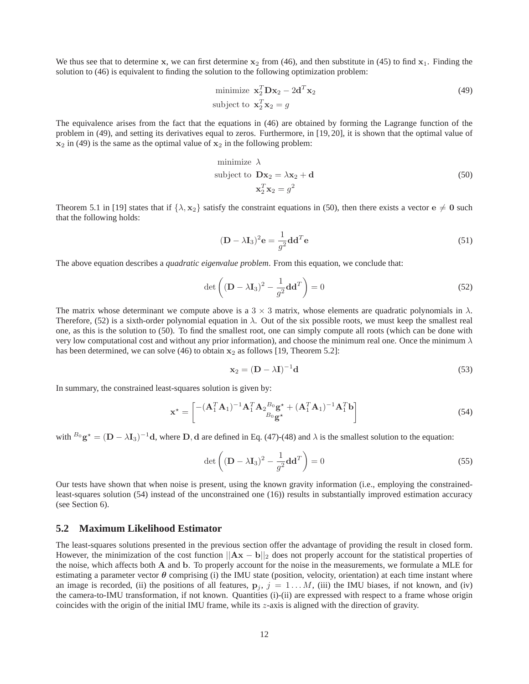We thus see that to determine x, we can first determine  $x_2$  from (46), and then substitute in (45) to find  $x_1$ . Finding the solution to (46) is equivalent to finding the solution to the following optimization problem:

$$
\text{minimize } \mathbf{x}_2^T \mathbf{D} \mathbf{x}_2 - 2 \mathbf{d}^T \mathbf{x}_2
$$
\n
$$
\text{subject to } \mathbf{x}_2^T \mathbf{x}_2 = g \tag{49}
$$

The equivalence arises from the fact that the equations in (46) are obtained by forming the Lagrange function of the problem in (49), and setting its derivatives equal to zeros. Furthermore, in [19, 20], it is shown that the optimal value of  $x_2$  in (49) is the same as the optimal value of  $x_2$  in the following problem:

minimize 
$$
\lambda
$$
  
subject to  $\mathbf{D}\mathbf{x}_2 = \lambda \mathbf{x}_2 + \mathbf{d}$   
 $\mathbf{x}_2^T \mathbf{x}_2 = g^2$  (50)

Theorem 5.1 in [19] states that if  $\{\lambda, x_2\}$  satisfy the constraint equations in (50), then there exists a vector  $e \neq 0$  such that the following holds:

$$
(\mathbf{D} - \lambda \mathbf{I}_3)^2 \mathbf{e} = \frac{1}{g^2} \mathbf{d} \mathbf{d}^T \mathbf{e}
$$
 (51)

The above equation describes a *quadratic eigenvalue problem*. From this equation, we conclude that:

$$
\det\left((\mathbf{D} - \lambda \mathbf{I}_3)^2 - \frac{1}{g^2} \mathbf{d} \mathbf{d}^T\right) = 0
$$
\n(52)

The matrix whose determinant we compute above is a 3  $\times$  3 matrix, whose elements are quadratic polynomials in  $\lambda$ . Therefore, (52) is a sixth-order polynomial equation in  $\lambda$ . Out of the six possible roots, we must keep the smallest real one, as this is the solution to (50). To find the smallest root, one can simply compute all roots (which can be done with very low computational cost and without any prior information), and choose the minimum real one. Once the minimum  $\lambda$ has been determined, we can solve (46) to obtain  $x_2$  as follows [19, Theorem 5.2]:

$$
\mathbf{x}_2 = (\mathbf{D} - \lambda \mathbf{I})^{-1} \mathbf{d} \tag{53}
$$

In summary, the constrained least-squares solution is given by:

$$
\mathbf{x}^{\star} = \begin{bmatrix} - (\mathbf{A}_1^T \mathbf{A}_1)^{-1} \mathbf{A}_1^T \mathbf{A}_2{}^{B_0} \mathbf{g}^{\star} + (\mathbf{A}_1^T \mathbf{A}_1)^{-1} \mathbf{A}_1^T \mathbf{b} \\ B_0 \mathbf{g}^{\star} \end{bmatrix}
$$
(54)

with  $B_0$  g<sup>\*</sup> =  $(D - \lambda I_3)^{-1}$ d, where D, d are defined in Eq. (47)-(48) and  $\lambda$  is the smallest solution to the equation:

$$
\det\left((\mathbf{D} - \lambda \mathbf{I}_3)^2 - \frac{1}{g^2} \mathbf{d} \mathbf{d}^T\right) = 0
$$
\n(55)

Our tests have shown that when noise is present, using the known gravity information (i.e., employing the constrainedleast-squares solution (54) instead of the unconstrained one (16)) results in substantially improved estimation accuracy (see Section 6).

### **5.2 Maximum Likelihood Estimator**

The least-squares solutions presented in the previous section offer the advantage of providing the result in closed form. However, the minimization of the cost function  $||Ax - b||_2$  does not properly account for the statistical properties of the noise, which affects both A and b. To properly account for the noise in the measurements, we formulate a MLE for estimating a parameter vector  $\theta$  comprising (i) the IMU state (position, velocity, orientation) at each time instant where an image is recorded, (ii) the positions of all features,  $p_j$ ,  $j = 1...M$ , (iii) the IMU biases, if not known, and (iv) the camera-to-IMU transformation, if not known. Quantities (i)-(ii) are expressed with respect to a frame whose origin coincides with the origin of the initial IMU frame, while its z-axis is aligned with the direction of gravity.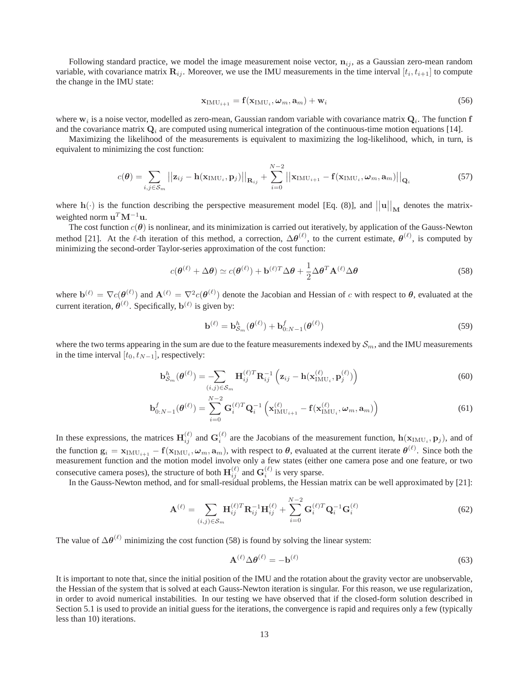Following standard practice, we model the image measurement noise vector,  $n_{ij}$ , as a Gaussian zero-mean random variable, with covariance matrix  $\mathbf{R}_{ij}$ . Moreover, we use the IMU measurements in the time interval  $[t_i, t_{i+1}]$  to compute the change in the IMU state:

$$
\mathbf{x}_{\text{IMU}_{i+1}} = \mathbf{f}(\mathbf{x}_{\text{IMU}_i}, \boldsymbol{\omega}_m, \mathbf{a}_m) + \mathbf{w}_i
$$
\n(56)

where  $w_i$  is a noise vector, modelled as zero-mean, Gaussian random variable with covariance matrix  $Q_i$ . The function f and the covariance matrix  $Q_i$  are computed using numerical integration of the continuous-time motion equations [14].

Maximizing the likelihood of the measurements is equivalent to maximizing the log-likelihood, which, in turn, is equivalent to minimizing the cost function:

$$
c(\boldsymbol{\theta}) = \sum_{i,j \in \mathcal{S}_m} \left| \left| \mathbf{z}_{ij} - \mathbf{h}(\mathbf{x}_{\text{IMU}_i}, \mathbf{p}_j) \right| \right|_{\mathbf{R}_{ij}} + \sum_{i=0}^{N-2} \left| \left| \mathbf{x}_{\text{IMU}_{i+1}} - \mathbf{f}(\mathbf{x}_{\text{IMU}_i}, \boldsymbol{\omega}_m, \mathbf{a}_m) \right| \right|_{\mathbf{Q}_i}
$$
(57)

where  $h(\cdot)$  is the function describing the perspective measurement model [Eq. (8)], and  $||u||_{M}$  denotes the matrixweighted norm  $\mathbf{u}^T \mathbf{M}^{-1} \mathbf{u}$ .

The cost function  $c(\theta)$  is nonlinear, and its minimization is carried out iteratively, by application of the Gauss-Newton method [21]. At the  $\ell$ -th iteration of this method, a correction,  $\Delta\theta^{(\ell)}$ , to the current estimate,  $\theta^{(\ell)}$ , is computed by minimizing the second-order Taylor-series approximation of the cost function:

$$
c(\boldsymbol{\theta}^{(\ell)} + \Delta \boldsymbol{\theta}) \simeq c(\boldsymbol{\theta}^{(\ell)}) + \mathbf{b}^{(\ell)T} \Delta \boldsymbol{\theta} + \frac{1}{2} \Delta \boldsymbol{\theta}^T \mathbf{A}^{(\ell)} \Delta \boldsymbol{\theta}
$$
 (58)

where  $\mathbf{b}^{(\ell)} = \nabla c(\boldsymbol{\theta}^{(\ell)})$  and  $\mathbf{A}^{(\ell)} = \nabla^2 c(\boldsymbol{\theta}^{(\ell)})$  denote the Jacobian and Hessian of c with respect to  $\boldsymbol{\theta}$ , evaluated at the current iteration,  $\boldsymbol{\theta}^{(\ell)}$ . Specifically,  $\mathbf{b}^{(\ell)}$  is given by:

$$
\mathbf{b}^{(\ell)} = \mathbf{b}_{\mathcal{S}_m}^h(\boldsymbol{\theta}^{(\ell)}) + \mathbf{b}_{0:N-1}^f(\boldsymbol{\theta}^{(\ell)})
$$
\n(59)

where the two terms appearing in the sum are due to the feature measurements indexed by  $S_m$ , and the IMU measurements in the time interval  $[t_0, t_{N-1}]$ , respectively:

$$
\mathbf{b}_{\mathcal{S}_m}^h(\boldsymbol{\theta}^{(\ell)}) = \sum_{(i,j)\in\mathcal{S}_m} \mathbf{H}_{ij}^{(\ell)T} \mathbf{R}_{ij}^{-1} \left( \mathbf{z}_{ij} - \mathbf{h}(\mathbf{x}_{\text{IMU}_i}^{(\ell)}, \mathbf{p}_j^{(\ell)}) \right)
$$
(60)

$$
\mathbf{b}_{0:N-1}^{f}(\boldsymbol{\theta}^{(\ell)}) = \sum_{i=0}^{N-2} \mathbf{G}_i^{(\ell)T} \mathbf{Q}_i^{-1} \left( \mathbf{x}_{\text{IMU}_{i+1}}^{(\ell)} - \mathbf{f}(\mathbf{x}_{\text{IMU}_i}^{(\ell)}, \boldsymbol{\omega}_m, \mathbf{a}_m) \right)
$$
(61)

In these expressions, the matrices  $H_{ij}^{(\ell)}$  and  $G_i^{(\ell)}$  are the Jacobians of the measurement function,  $h(\mathbf{x}_{\text{IMU}_i}, \mathbf{p}_j)$ , and of the function  $\mathbf{g}_i = \mathbf{x}_{\text{IMU}_{i+1}} - \mathbf{f}(\mathbf{x}_{\text{IMU}_i}, \boldsymbol{\omega}_m, \mathbf{a}_m)$ , with respect to  $\boldsymbol{\theta}$ , evaluated at the current iterate  $\boldsymbol{\theta}^{(\ell)}$ . Since both the measurement function and the motion model involve only a few states (either one camera pose and one feature, or two consecutive camera poses), the structure of both  $\mathbf{H}_{ij}^{(\ell)}$  and  $\mathbf{G}_i^{(\ell)}$  is very sparse.

In the Gauss-Newton method, and for small-residual problems, the Hessian matrix can be well approximated by [21]:

$$
\mathbf{A}^{(\ell)} = \sum_{(i,j)\in\mathcal{S}_m} \mathbf{H}_{ij}^{(\ell)T} \mathbf{R}_{ij}^{-1} \mathbf{H}_{ij}^{(\ell)} + \sum_{i=0}^{N-2} \mathbf{G}_i^{(\ell)T} \mathbf{Q}_i^{-1} \mathbf{G}_i^{(\ell)}
$$
(62)

The value of  $\Delta\theta^{(\ell)}$  minimizing the cost function (58) is found by solving the linear system:

$$
\mathbf{A}^{(\ell)} \Delta \boldsymbol{\theta}^{(\ell)} = -\mathbf{b}^{(\ell)} \tag{63}
$$

It is important to note that, since the initial position of the IMU and the rotation about the gravity vector are unobservable, the Hessian of the system that is solved at each Gauss-Newton iteration is singular. For this reason, we use regularization, in order to avoid numerical instabilities. In our testing we have observed that if the closed-form solution described in Section 5.1 is used to provide an initial guess for the iterations, the convergence is rapid and requires only a few (typically less than 10) iterations.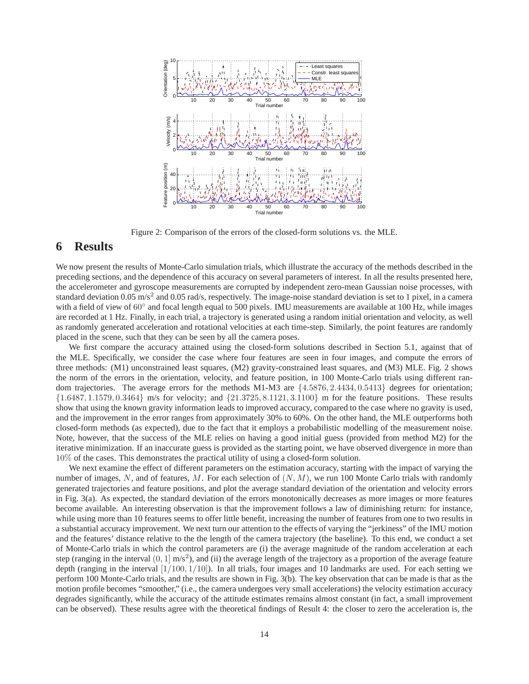

Figure 2: Comparison of the errors of the closed-form solutions vs. the MLE.

# **6 Results**

We now present the results of Monte-Carlo simulation trials, which illustrate the accuracy of the methods described in the preceding sections, and the dependence of this accuracy on several parameters of interest. In all the results presented here, the accelerometer and gyroscope measurements are corrupted by independent zero-mean Gaussian noise processes, with standard deviation  $0.05 \text{ m/s}^2$  and  $0.05 \text{ rad/s}$ , respectively. The image-noise standard deviation is set to 1 pixel, in a camera with a field of view of 60° and focal length equal to 500 pixels. IMU measurements are available at 100 Hz, while images are recorded at 1 Hz. Finally, in each trial, a trajectory is generated using a random initial orientation and velocity, as well as randomly generated acceleration and rotational velocities at each time-step. Similarly, the point features are randomly placed in the scene, such that they can be seen by all the camera poses.

We first compare the accuracy attained using the closed-form solutions described in Section 5.1, against that of the MLE. Specifically, we consider the case where four features are seen in four images, and compute the errors of three methods: (M1) unconstrained least squares, (M2) gravity-constrained least squares, and (M3) MLE. Fig. 2 shows the norm of the errors in the orientation, velocity, and feature position, in 100 Monte-Carlo trials using different random trajectories. The average errors for the methods M1-M3 are  $\{4.5876, 2.4434, 0.5413\}$  degrees for orientation;  $\{1.6487, 1.1579, 0.3464\}$  m/s for velocity; and  $\{21.3725, 8.1121, 3.1100\}$  m for the feature positions. These results show that using the known gravity information leads to improved accuracy, compared to the case where no gravity is used, and the improvement in the error ranges from approximately 30% to 60%. On the other hand, the MLE outperforms both closed-form methods (as expected), due to the fact that it employs a probabilistic modelling of the measurement noise. Note, however, that the success of the MLE relies on having a good initial guess (provided from method M2) for the iterative minimization. If an inaccurate guess is provided as the starting point, we have observed divergence in more than 10% of the cases. This demonstrates the practical utility of using a closed-form solution.

We next examine the effect of different parameters on the estimation accuracy, starting with the impact of varying the number of images, N, and of features, M. For each selection of  $(N, M)$ , we run 100 Monte Carlo trials with randomly generated trajectories and feature positions, and plot the average standard deviation of the orientation and velocity errors in Fig. 3(a). As expected, the standard deviation of the errors monotonically decreases as more images or more features become available. An interesting observation is that the improvement follows a law of diminishing return: for instance, while using more than 10 features seems to offer little benefit, increasing the number of features from one to two results in a substantial accuracy improvement. We next turn our attention to the effects of varying the "jerkiness" of the IMU motion and the features' distance relative to the the length of the camera trajectory (the baseline). To this end, we conduct a set of Monte-Carlo trials in which the control parameters are (i) the average magnitude of the random acceleration at each step (ranging in the interval  $(0,1]$  m/s<sup>2</sup>), and (ii) the average length of the trajectory as a proportion of the average feature depth (ranging in the interval  $[1/100, 1/10]$ ). In all trials, four images and 10 landmarks are used. For each setting we perform 100 Monte-Carlo trials, and the results are shown in Fig. 3(b). The key observation that can be made is that as the motion profile becomes "smoother," (i.e., the camera undergoes very small accelerations) the velocity estimation accuracy degrades significantly, while the accuracy of the attitude estimates remains almost constant (in fact, a small improvement can be observed). These results agree with the theoretical findings of Result 4: the closer to zero the acceleration is, the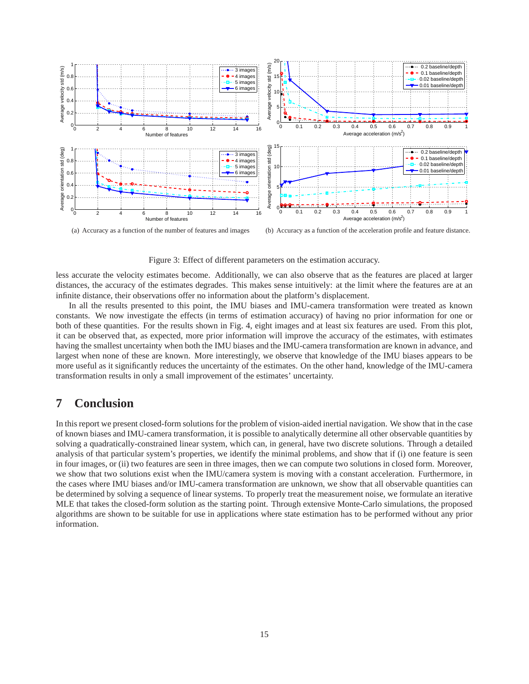

(a) Accuracy as a function of the number of features and images

(b) Accuracy as a function of the acceleration profile and feature distance.

Figure 3: Effect of different parameters on the estimation accuracy.

less accurate the velocity estimates become. Additionally, we can also observe that as the features are placed at larger distances, the accuracy of the estimates degrades. This makes sense intuitively: at the limit where the features are at an infinite distance, their observations offer no information about the platform's displacement.

In all the results presented to this point, the IMU biases and IMU-camera transformation were treated as known constants. We now investigate the effects (in terms of estimation accuracy) of having no prior information for one or both of these quantities. For the results shown in Fig. 4, eight images and at least six features are used. From this plot, it can be observed that, as expected, more prior information will improve the accuracy of the estimates, with estimates having the smallest uncertainty when both the IMU biases and the IMU-camera transformation are known in advance, and largest when none of these are known. More interestingly, we observe that knowledge of the IMU biases appears to be more useful as it significantly reduces the uncertainty of the estimates. On the other hand, knowledge of the IMU-camera transformation results in only a small improvement of the estimates' uncertainty.

# **7 Conclusion**

In this report we present closed-form solutions for the problem of vision-aided inertial navigation. We show that in the case of known biases and IMU-camera transformation, it is possible to analytically determine all other observable quantities by solving a quadratically-constrained linear system, which can, in general, have two discrete solutions. Through a detailed analysis of that particular system's properties, we identify the minimal problems, and show that if (i) one feature is seen in four images, or (ii) two features are seen in three images, then we can compute two solutions in closed form. Moreover, we show that two solutions exist when the IMU/camera system is moving with a constant acceleration. Furthermore, in the cases where IMU biases and/or IMU-camera transformation are unknown, we show that all observable quantities can be determined by solving a sequence of linear systems. To properly treat the measurement noise, we formulate an iterative MLE that takes the closed-form solution as the starting point. Through extensive Monte-Carlo simulations, the proposed algorithms are shown to be suitable for use in applications where state estimation has to be performed without any prior information.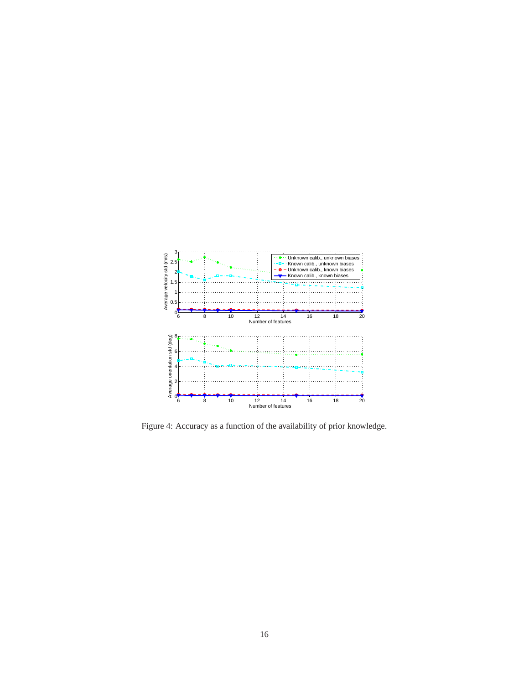

Figure 4: Accuracy as a function of the availability of prior knowledge.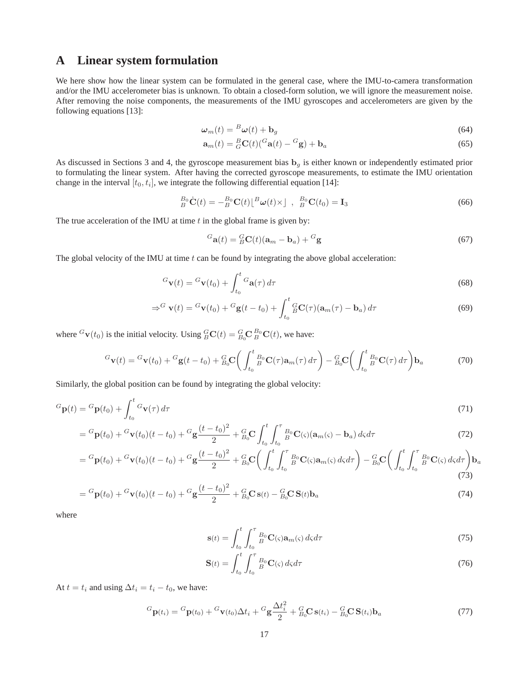# **A Linear system formulation**

We here show how the linear system can be formulated in the general case, where the IMU-to-camera transformation and/or the IMU accelerometer bias is unknown. To obtain a closed-form solution, we will ignore the measurement noise. After removing the noise components, the measurements of the IMU gyroscopes and accelerometers are given by the following equations [13]:

$$
\boldsymbol{\omega}_m(t) = \mathbf{^B}\boldsymbol{\omega}(t) + \mathbf{b}_g \tag{64}
$$

$$
\mathbf{a}_m(t) = {}_G^B \mathbf{C}(t) ({}^G \mathbf{a}(t) - {}^G \mathbf{g}) + \mathbf{b}_a \tag{65}
$$

As discussed in Sections 3 and 4, the gyroscope measurement bias  $\mathbf{b}_q$  is either known or independently estimated prior to formulating the linear system. After having the corrected gyroscope measurements, to estimate the IMU orientation change in the interval  $[t_0, t_i]$ , we integrate the following differential equation [14]:

$$
{}_{B}^{B_{0}}\dot{\mathbf{C}}(t) = -{}_{B}^{B_{0}}\mathbf{C}(t)\left[{}^{B}\boldsymbol{\omega}(t)\times\right] , \quad {}_{B}^{B_{0}}\mathbf{C}(t_{0}) = \mathbf{I}_{3}
$$
\n(66)

The true acceleration of the IMU at time  $t$  in the global frame is given by:

$$
{}^{G}\mathbf{a}(t) = {}^{G}_{B}\mathbf{C}(t)(\mathbf{a}_m - \mathbf{b}_a) + {}^{G}\mathbf{g}
$$
\n(67)

The global velocity of the IMU at time  $t$  can be found by integrating the above global acceleration:

$$
{}^{G}\mathbf{v}(t) = {}^{G}\mathbf{v}(t_0) + \int_{t_0}^t {}^{G}\mathbf{a}(\tau) d\tau
$$
\n(68)

$$
\Rightarrow^{G} \mathbf{v}(t) = {}^{G}\mathbf{v}(t_0) + {}^{G}\mathbf{g}(t - t_0) + \int_{t_0}^{t} {}^{G}_{B}\mathbf{C}(\tau)(\mathbf{a}_m(\tau) - \mathbf{b}_a) d\tau
$$
\n(69)

where  ${}^{G}\mathbf{v}(t_0)$  is the initial velocity. Using  ${}^{G}_{B}\mathbf{C}(t) = {}^{G}_{B_0}\mathbf{C} {}^{B_0}_{B}\mathbf{C}(t)$ , we have:

$$
{}^{G}\mathbf{v}(t) = {}^{G}\mathbf{v}(t_0) + {}^{G}\mathbf{g}(t - t_0) + {}^{G}_{B_0}\mathbf{C} \bigg( \int_{t_0}^t {}^{B_0}_{B} \mathbf{C}(\tau) \mathbf{a}_m(\tau) d\tau \bigg) - {}^{G}_{B_0}\mathbf{C} \bigg( \int_{t_0}^t {}^{B_0}_{B} \mathbf{C}(\tau) d\tau \bigg) \mathbf{b}_a
$$
(70)

Similarly, the global position can be found by integrating the global velocity:

$$
{}^{G}\mathbf{p}(t) = {}^{G}\mathbf{p}(t_0) + \int_{t_0}^{t} {}^{G}\mathbf{v}(\tau) d\tau
$$
\n(71)

$$
= {}^{G}\mathbf{p}(t_0) + {}^{G}\mathbf{v}(t_0)(t-t_0) + {}^{G}\mathbf{g}\frac{(t-t_0)^2}{2} + {}^{G}_{B_0}\mathbf{C} \int_{t_0}^t \int_{t_0}^{\tau} {}^{B_0}_{B} \mathbf{C}(\varsigma) (\mathbf{a}_m(\varsigma) - \mathbf{b}_a) d\varsigma d\tau
$$
\n(72)

$$
= {}^{G}\mathbf{p}(t_{0}) + {}^{G}\mathbf{v}(t_{0})(t-t_{0}) + {}^{G}\mathbf{g}\frac{(t-t_{0})^{2}}{2} + {}^{G}_{B_{0}}\mathbf{C}\bigg(\int_{t_{0}}^{t} \int_{t_{0}}^{\tau} {}^{B_{0}}\mathbf{C}(\varsigma) \mathbf{a}_{m}(\varsigma) d\varsigma d\tau\bigg) - {}^{G}_{B_{0}}\mathbf{C}\bigg(\int_{t_{0}}^{t} \int_{t_{0}}^{\tau} {}^{B_{0}}\mathbf{C}(\varsigma) d\varsigma d\tau\bigg) \mathbf{b}_{a}
$$
\n(73)

$$
= {}^{G}\mathbf{p}(t_0) + {}^{G}\mathbf{v}(t_0)(t - t_0) + {}^{G}\mathbf{g}\frac{(t - t_0)^2}{2} + {}^{G}_{B_0}\mathbf{C}\,\mathbf{s}(t) - {}^{G}_{B_0}\mathbf{C}\,\mathbf{S}(t)\mathbf{b}_a
$$
\n(74)

where

$$
\mathbf{s}(t) = \int_{t_0}^{t} \int_{t_0}^{\tau} \, \mathbf{B}_0 \, \mathbf{C}(\varsigma) \mathbf{a}_m(\varsigma) \, d\varsigma \, d\tau \tag{75}
$$

$$
\mathbf{S}(t) = \int_{t_0}^{t} \int_{t_0}^{\tau} \, \mathcal{B}^0 \mathbf{C}(\varsigma) \, d\varsigma \, d\tau \tag{76}
$$

At  $t = t_i$  and using  $\Delta t_i = t_i - t_0$ , we have:

$$
{}^{G}\mathbf{p}(t_i) = {}^{G}\mathbf{p}(t_0) + {}^{G}\mathbf{v}(t_0)\Delta t_i + {}^{G}\mathbf{g}\frac{\Delta t_i^2}{2} + {}^{G}_{B_0}\mathbf{C}\,\mathbf{s}(t_i) - {}^{G}_{B_0}\mathbf{C}\,\mathbf{S}(t_i)\mathbf{b}_a
$$
\n
$$
\tag{77}
$$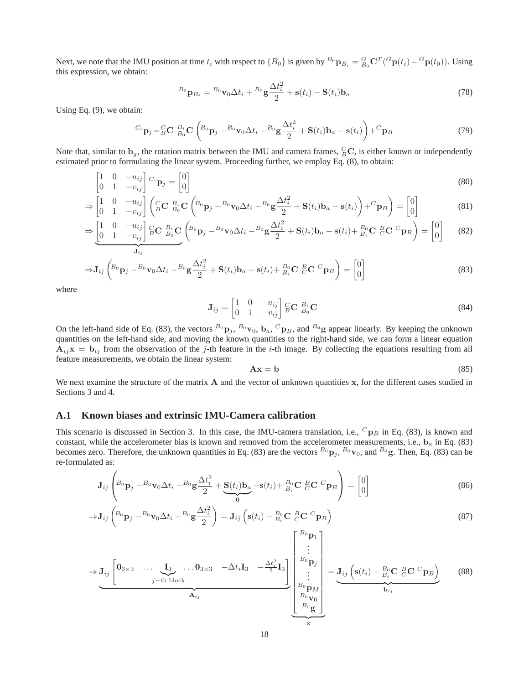Next, we note that the IMU position at time  $t_i$  with respect to  ${B_0}$  is given by  ${}^{B_0}P_{B_i} = {}^{G}_{B_0}C^T({}^G{\bf p}(t_i) - {}^G{\bf p}(t_0))$ . Using this expression, we obtain:

$$
{}^{B_0}\mathbf{p}_{B_i} = {}^{B_0}\mathbf{v}_0 \Delta t_i + {}^{B_0}\mathbf{g}\frac{\Delta t_i^2}{2} + \mathbf{s}(t_i) - \mathbf{S}(t_i)\mathbf{b}_a
$$
\n(78)

Using Eq. (9), we obtain:

$$
^{C_i}\mathbf{p}_j = ^C_B\mathbf{C} \, ^{B_i}_{B_0}\mathbf{C} \left(^{B_0}\mathbf{p}_j - ^{B_0}\mathbf{v}_0\Delta t_i - ^{B_0}\mathbf{g}\frac{\Delta t_i^2}{2} + \mathbf{S}(t_i)\mathbf{b}_a - \mathbf{s}(t_i)\right) + ^C\mathbf{p}_B
$$
\n
$$
\tag{79}
$$

Note that, similar to  $\mathbf{b}_g$ , the rotation matrix between the IMU and camera frames,  ${}_{B}^{C}\mathbf{C}$ , is either known or independently estimated prior to formulating the linear system. Proceeding further, we employ Eq. (8), to obtain:

$$
\begin{bmatrix} 1 & 0 & -u_{ij} \\ 0 & 1 & -v_{ij} \end{bmatrix} C_i \mathbf{p}_j = \begin{bmatrix} 0 \\ 0 \end{bmatrix}
$$
\n(80)

$$
\Rightarrow \begin{bmatrix} 1 & 0 & -u_{ij} \\ 0 & 1 & -v_{ij} \end{bmatrix} \begin{pmatrix} C & B_i \\ B & C \end{pmatrix} \mathbf{C} \begin{pmatrix} B_0 & B_0 \\ B_0 & D_j \end{pmatrix} - B_0 \mathbf{v}_0 \Delta t_i - B_0 \mathbf{g} \frac{\Delta t_i^2}{2} + \mathbf{S}(t_i) \mathbf{b}_a - \mathbf{s}(t_i) \mathbf{b}_a \end{pmatrix} + {}^C \mathbf{p}_B \mathbf{p} = \begin{bmatrix} 0 \\ 0 \end{bmatrix}
$$
(81)

$$
\Rightarrow \underbrace{\begin{bmatrix} 1 & 0 & -u_{ij} \\ 0 & 1 & -v_{ij} \end{bmatrix} \begin{bmatrix} G & B_i \\ B & B_0 \end{bmatrix}}_{\mathbf{J}_{ij}} \mathbf{C} \underbrace{\begin{bmatrix} B_0 \\ B_0 \end{bmatrix}}_{\mathbf{D}_j} - \begin{bmatrix} B_0 \\ B_0 \end{bmatrix}_{\mathbf{V}_0} \Delta t_i - \begin{bmatrix} B_0 \\ B_i \end{bmatrix} + \mathbf{S}(t_i) \mathbf{b}_a - \mathbf{s}(t_i) + \begin{bmatrix} B_0 \\ B_i \end{bmatrix} \mathbf{C} \begin{bmatrix} B \\ C \end{bmatrix} \mathbf{C} \begin{bmatrix} 0 \\ 0 \end{bmatrix} \tag{82}
$$

$$
\Rightarrow \mathbf{J}_{ij} \left( {}^{B_{0}}\mathbf{p}_{j} - {}^{B_{0}}\mathbf{v}_{0} \Delta t_{i} - {}^{B_{0}}\mathbf{g} \frac{\Delta t_{i}^{2}}{2} + \mathbf{S}(t_{i}) \mathbf{b}_{a} - \mathbf{s}(t_{i}) + {}^{B_{0}}_{B_{i}} \mathbf{C} \stackrel{B}{C} \mathbf{C} \stackrel{C}{P} \mathbf{p}_{B} \right) = \begin{bmatrix} 0 \\ 0 \end{bmatrix}
$$
(83)

where

$$
\mathbf{J}_{ij} = \begin{bmatrix} 1 & 0 & -u_{ij} \\ 0 & 1 & -v_{ij} \end{bmatrix} \begin{matrix} C & B_i \\ B & D_0 \end{matrix} \mathbf{C}
$$
 (84)

On the left-hand side of Eq. (83), the vectors  $B_0$   $\mathbf{p}_j$ ,  $B_0$   $\mathbf{v}_0$ ,  $\mathbf{b}_a$ ,  $C$   $\mathbf{p}_B$ , and  $B_0$  g appear linearly. By keeping the unknown quantities on the left-hand side, and moving the known quantities to the right-hand side, we can form a linear equation  $A_{ij}x = b_{ij}$  from the observation of the j-th feature in the i-th image. By collecting the equations resulting from all feature measurements, we obtain the linear system:

$$
Ax = b \tag{85}
$$

We next examine the structure of the matrix A and the vector of unknown quantities x, for the different cases studied in Sections 3 and 4.

### **A.1 Known biases and extrinsic IMU-Camera calibration**

This scenario is discussed in Section 3. In this case, the IMU-camera translation, i.e.,  ${}^{C}p_B$  in Eq. (83), is known and constant, while the accelerometer bias is known and removed from the accelerometer measurements, i.e.,  $b_a$  in Eq. (83) becomes zero. Therefore, the unknown quantities in Eq. (83) are the vectors  ${}^{B_0}P_j$ ,  ${}^{B_0}v_0$ , and  ${}^{B_0}g$ . Then, Eq. (83) can be re-formulated as:

$$
\mathbf{J}_{ij}\left^{B_{0}}\mathbf{p}_{j} - {}^{B_{0}}\mathbf{v}_{0}\Delta t_{i} - {}^{B_{0}}\mathbf{g}\frac{\Delta t_{i}^{2}}{2} + \underbrace{\mathbf{S}(t_{i})\mathbf{b}_{a}}_{0} - \mathbf{s}(t_{i}) + {}^{B_{0}}_{B_{i}}\mathbf{C} \stackrel{B}{C}\mathbf{C} \stackrel{C}{P} \mathbf{p}_{B}\right) = \begin{bmatrix} 0\\0 \end{bmatrix}
$$
\n(86)

$$
\Rightarrow \mathbf{J}_{ij} \left( {}^{B_{0}}\mathbf{p}_{j} - {}^{B_{0}}\mathbf{v}_{0} \Delta t_{i} - {}^{B_{0}}\mathbf{g} \frac{\Delta t_{i}^{2}}{2} \right) = \mathbf{J}_{ij} \left( \mathbf{s}(t_{i}) - {}^{B_{0}}_{B_{i}}\mathbf{C} \stackrel{B}{C} \mathbf{C} \stackrel{C}{P} \mathbf{p}_{B} \right)
$$
\n
$$
\begin{bmatrix} {}^{B_{0}}\mathbf{p}_{1} \end{bmatrix}
$$
\n(87)

$$
\Rightarrow J_{ij}\left[\begin{matrix}\n0_{3\times 3} & \cdots & \mathbf{I}_{3} & \cdots & 0_{3\times 3} & -\Delta t_{i}\mathbf{I}_{3} & -\frac{\Delta t_{i}^{2}}{2}\mathbf{I}_{3} \\
\vdots & \vdots & \ddots & \vdots \\
0_{\mathbf{A}_{ij}} & \mathbf{A}_{ij}\n\end{matrix}\right] \xrightarrow[\mathbf{A}_{ij}]{\mathbf{B}_{0}\mathbf{p}_{j}}_{\mathbf{B}_{0}\mathbf{p}_{M}} = \underbrace{J_{ij}\left(\mathbf{s}(t_{i}) - \frac{B_{0}}{B_{i}}\mathbf{C} \frac{B}{C}\mathbf{C} \frac{C}{C}\mathbf{p}_{B}\right)}_{\mathbf{A}_{0}\mathbf{g}} \qquad (88)
$$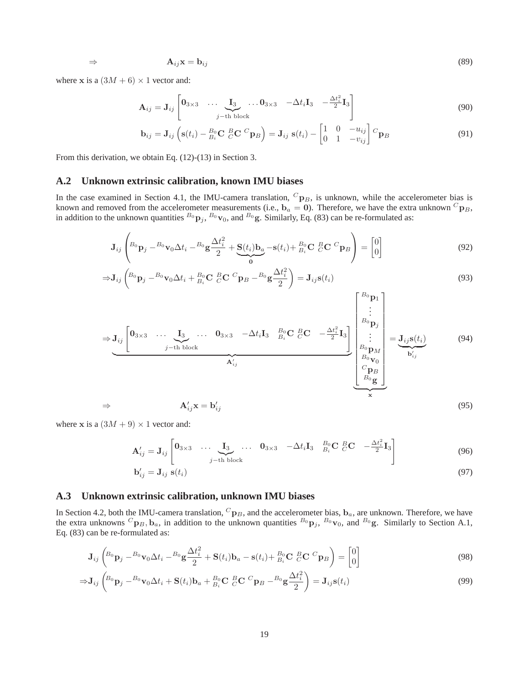$$
\Rightarrow \qquad \mathbf{A}_{ij}\mathbf{x} = \mathbf{b}_{ij} \tag{89}
$$

where **x** is a  $(3M + 6) \times 1$  vector and:

$$
\mathbf{A}_{ij} = \mathbf{J}_{ij} \begin{bmatrix} \mathbf{0}_{3 \times 3} & \cdots & \mathbf{I}_{3} & \cdots & \mathbf{0}_{3 \times 3} & -\Delta t_{i} \mathbf{I}_{3} & -\frac{\Delta t_{i}^{2}}{2} \mathbf{I}_{3} \\ j-\text{th block} & \end{bmatrix}
$$
(90)

$$
\mathbf{b}_{ij} = \mathbf{J}_{ij} \left( \mathbf{s}(t_i) - \frac{B_0}{B_i} \mathbf{C} \frac{B}{C} \mathbf{C} \frac{C}{P} \mathbf{p}_B \right) = \mathbf{J}_{ij} \mathbf{s}(t_i) - \begin{bmatrix} 1 & 0 & -u_{ij} \\ 0 & 1 & -v_{ij} \end{bmatrix} \mathbf{C} \mathbf{p}_B
$$
 (91)

From this derivation, we obtain Eq. (12)-(13) in Section 3.

### **A.2 Unknown extrinsic calibration, known IMU biases**

In the case examined in Section 4.1, the IMU-camera translation,  ${}^{C}P_B$ , is unknown, while the accelerometer bias is known and removed from the accelerometer measurements (i.e.,  $\mathbf{b}_a = \mathbf{0}$ ). Therefore, we have the extra unknown  ${}^C\mathbf{p}_B$ , in addition to the unknown quantities  ${}^{B_0}p_j$ ,  ${}^{B_0}v_0$ , and  ${}^{B_0}g$ . Similarly, Eq. (83) can be re-formulated as:

$$
\mathbf{J}_{ij}\left{}_{\mathbf{B}_0\mathbf{p}_j} - {}_{\mathbf{B}_0\mathbf{v}_0\Delta t_i} - {}_{\mathbf{B}_0\mathbf{g}}\frac{\Delta t_i^2}{2} + \underbrace{\mathbf{S}(t_i)\mathbf{b}_a}_{\mathbf{0}} - \mathbf{s}(t_i) + {}_{\mathbf{B}_i\mathbf{C}}^{B_0}\mathbf{C} \, {}_{\mathbf{C}}^{B}\mathbf{C} \, {}_{\mathbf{p}_B}^{B}\right\rbrace = \begin{bmatrix} 0 \\ 0 \end{bmatrix}
$$
(92)

$$
\Rightarrow \mathbf{J}_{ij} \left( {}^{B_{0}}\mathbf{p}_{j} - {}^{B_{0}}\mathbf{v}_{0}\Delta t_{i} + {}^{B_{0}}_{B_{i}}\mathbf{C} \frac{B}{C}\mathbf{C} \frac{C}{P} \mathbf{p}_{B} - {}^{B_{0}}\mathbf{g} \frac{\Delta t_{i}^{2}}{2} \right) = \mathbf{J}_{ij}\mathbf{s}(t_{i})
$$
\n
$$
\begin{bmatrix} {}^{B_{0}}\mathbf{p}_{1} \end{bmatrix}
$$
\n(93)

$$
\Rightarrow \mathbf{J}_{ij} \begin{bmatrix} \mathbf{0}_{3\times 3} & \cdots & \mathbf{I}_{3} & \cdots & \mathbf{0}_{3\times 3} & -\Delta t_{i} \mathbf{I}_{3} & \frac{B_{0}}{B_{i}} \mathbf{C} \cdot \frac{B \mathbf{C}}{C} & -\frac{\Delta t_{i}^{2}}{2} \mathbf{I}_{3} \\ \vdots & \vdots & \ddots & \vdots \\ \frac{B_{0}}{B_{0}} \mathbf{p}_{M} & \vdots & \vdots \\ \frac{B_{0}}{B_{0}} \mathbf{p}_{M} & \frac{C \mathbf{p}_{B}}{D_{0}} \end{bmatrix} = \underbrace{\mathbf{J}_{ij} \mathbf{s}(t_{i})}_{\mathbf{b}'_{ij}} \tag{94}
$$
\n
$$
\Rightarrow \mathbf{A}'_{ij} \mathbf{x} = \mathbf{b}'_{ij} \tag{95}
$$

where **x** is a  $(3M + 9) \times 1$  vector and:

$$
\mathbf{A}'_{ij} = \mathbf{J}_{ij} \begin{bmatrix} \mathbf{0}_{3 \times 3} & \dots & \mathbf{I}_{3} & \dots & \mathbf{0}_{3 \times 3} & -\Delta t_{i} \mathbf{I}_{3} & \frac{B_{0}}{B_{i}} \mathbf{C} & \frac{B}{C} \mathbf{C} & -\frac{\Delta t_{i}^{2}}{2} \mathbf{I}_{3} \end{bmatrix} \tag{96}
$$

$$
\mathbf{b}'_{ij} = \mathbf{J}_{ij} \ \mathbf{s}(t_i) \tag{97}
$$

### **A.3 Unknown extrinsic calibration, unknown IMU biases**

In Section 4.2, both the IMU-camera translation,  ${}^C\mathbf{p}_B$ , and the accelerometer bias,  $\mathbf{b}_a$ , are unknown. Therefore, we have the extra unknowns  ${}^C\mathbf{p}_B$ ,  $\mathbf{b}_a$ , in addition to the unknown quantities  ${}^{B_0}\mathbf{p}_j$ ,  ${}^{B_0}\mathbf{v}_0$ , and  ${}^{B_0}\mathbf{g}$ . Similarly to Section A.1, Eq. (83) can be re-formulated as:

$$
\mathbf{J}_{ij}\left({}^{B_{0}}\mathbf{p}_{j}-{}^{B_{0}}\mathbf{v}_{0}\Delta t_{i}-{}^{B_{0}}\mathbf{g}\frac{\Delta t_{i}^{2}}{2}+\mathbf{S}(t_{i})\mathbf{b}_{a}-\mathbf{s}(t_{i})+\frac{B_{0}}{B_{i}}\mathbf{C}\left.\frac{B}{C}\mathbf{C}\right.\frac{C}{D} \mathbf{p}_{B}\right)=\begin{bmatrix}0\\0\end{bmatrix}
$$
\n(98)

$$
\Rightarrow \mathbf{J}_{ij} \left( {}^{B_{0}}\mathbf{p}_{j} - {}^{B_{0}}\mathbf{v}_{0}\Delta t_{i} + \mathbf{S}(t_{i})\mathbf{b}_{a} + {}^{B_{0}}_{B_{i}}\mathbf{C} \, {}^{B}_{C}\mathbf{C} \, {}^{C}\mathbf{p}_{B} - {}^{B_{0}}\mathbf{g} \frac{\Delta t_{i}^{2}}{2} \right) = \mathbf{J}_{ij}\mathbf{s}(t_{i})
$$
\n
$$
(99)
$$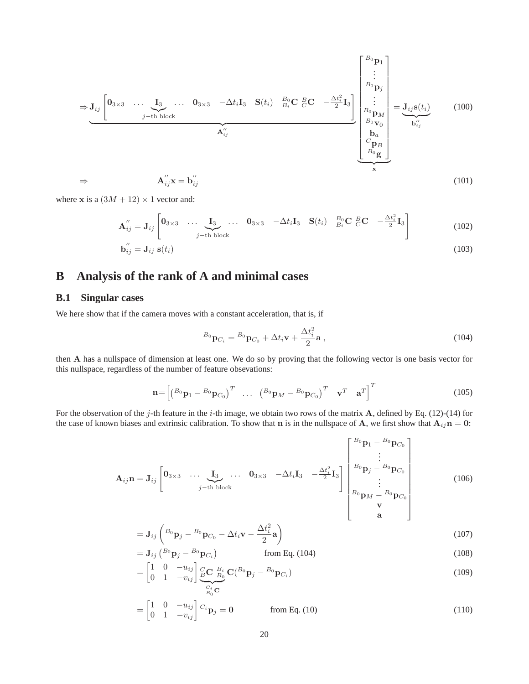$$
\Rightarrow \mathbf{J}_{ij} \begin{bmatrix} \mathbf{0}_{3\times 3} & \cdots & \mathbf{I}_{3} & \cdots & \mathbf{0}_{3\times 3} & -\Delta t_{i} \mathbf{I}_{3} & \mathbf{S}(t_{i}) & \frac{B_{0}}{B_{i}} \mathbf{C} \cdot \frac{B_{0}}{C} \cdot \mathbf{C} & -\frac{\Delta t_{i}^{2}}{2} \mathbf{I}_{3} \\ \vdots & \vdots & \vdots & \vdots \\ \frac{B_{0}}{B_{i}} \mathbf{p}_{M} & \vdots & \vdots \\ \frac{B_{i}}{B_{i}} \mathbf{v}_{0} & \frac{B_{i}}{C} \mathbf{p}_{B} \\ \frac{C_{i}}{B_{i}} \mathbf{p}_{M} & \vdots & \vdots \\ \frac{C_{j}}{B_{i}} \mathbf{p}_{B} & \frac{C_{j}}{C} \mathbf{p}_{B} \\ \frac{C_{j}}{B_{i}} \mathbf{p}_{M} & \end{bmatrix} = \underbrace{\mathbf{J}_{ij} \mathbf{s}(t_{i})}_{\mathbf{x}^{'}_{ij}} \tag{101}
$$

where x is a  $(3M + 12) \times 1$  vector and:

$$
\mathbf{A}_{ij}'' = \mathbf{J}_{ij} \begin{bmatrix} \mathbf{0}_{3\times 3} & \cdots & \mathbf{I}_{3} & \cdots & \mathbf{0}_{3\times 3} & -\Delta t_i \mathbf{I}_{3} & \mathbf{S}(t_i) & \frac{B_0}{B_i} \mathbf{C} & \frac{B_0}{C} \mathbf{C} & -\frac{\Delta t_i^2}{2} \mathbf{I}_{3} \end{bmatrix}
$$
\n
$$
\mathbf{b}_{ij}'' = \mathbf{J}_{ij} \mathbf{s}(t_i) \tag{102}
$$
\n
$$
(103)
$$

$$
u_{ij}'' = \mathbf{J}_{ij} \mathbf{s}(t_i) \tag{103}
$$

# **B Analysis of the rank of A and minimal cases**

### **B.1 Singular cases**

We here show that if the camera moves with a constant acceleration, that is, if

$$
{}^{B_0}\mathbf{p}_{C_i} = {}^{B_0}\mathbf{p}_{C_0} + \Delta t_i \mathbf{v} + \frac{\Delta t_i^2}{2}\mathbf{a},\tag{104}
$$

then A has a nullspace of dimension at least one. We do so by proving that the following vector is one basis vector for this nullspace, regardless of the number of feature obsevations:

$$
\mathbf{n} = \begin{bmatrix} \begin{pmatrix} B_0 \mathbf{p}_1 - B_0 \mathbf{p}_{C_0} \end{pmatrix}^T & \dots & \begin{pmatrix} B_0 \mathbf{p}_M - B_0 \mathbf{p}_{C_0} \end{pmatrix}^T & \mathbf{v}^T & \mathbf{a}^T \end{bmatrix}^T \tag{105}
$$

For the observation of the j-th feature in the i-th image, we obtain two rows of the matrix A, defined by Eq. (12)-(14) for the case of known biases and extrinsic calibration. To show that **n** is in the nullspace of **A**, we first show that  $A_{ij}$ **n** = 0:

$$
\mathbf{A}_{ij}\mathbf{n} = \mathbf{J}_{ij} \begin{bmatrix} \mathbf{0}_{3\times 3} & \cdots & \mathbf{I}_{3} & \cdots & \mathbf{0}_{3\times 3} & -\Delta t_{i}\mathbf{I}_{3} & -\frac{\Delta t_{i}^{2}}{2}\mathbf{I}_{3} \\ \vdots & \vdots & \ddots & \vdots \\ \mathbf{B}_{0}\mathbf{p}_{j} - \mathbf{B}_{0}\mathbf{p}_{C_{0}} & \vdots \\ \mathbf{B}_{0}\mathbf{p}_{M} - \mathbf{B}_{0}\mathbf{p}_{C_{0}} & \mathbf{V} \\ \mathbf{A} & \end{bmatrix} \qquad (106)
$$

$$
= \mathbf{J}_{ij} \left( {}^{B_0} \mathbf{p}_j - {}^{B_0} \mathbf{p}_{C_0} - \Delta t_i \mathbf{v} - \frac{\Delta t_i^2}{2} \mathbf{a} \right)
$$
(107)

$$
= \mathbf{J}_{ij} \left( \begin{matrix} B_0 \mathbf{p}_j - B_0 \mathbf{p}_{C_i} \end{matrix} \right) \qquad \text{from Eq. (104)}
$$
\n
$$
\begin{bmatrix} 1 & 0 & -u \end{bmatrix} \begin{bmatrix} a & b \\ c & d \end{bmatrix} \qquad \text{from Eq. (105)}
$$

$$
= \begin{bmatrix} 1 & 0 & -u_{ij} \\ 0 & 1 & -v_{ij} \end{bmatrix} \underbrace{\underset{C_i}{B \mathbf{C}} \mathbf{C}}_{\underset{B_0}{B_i \mathbf{C}}} B_i}{\mathbf{C}} (\mathbf{B}_0 \mathbf{p}_j - B_0 \mathbf{p}_{C_i})
$$
(109)

$$
= \begin{bmatrix} 1 & 0 & -u_{ij} \\ 0 & 1 & -v_{ij} \end{bmatrix} C_i \mathbf{p}_j = \mathbf{0}
$$
 from Eq. (10) (110)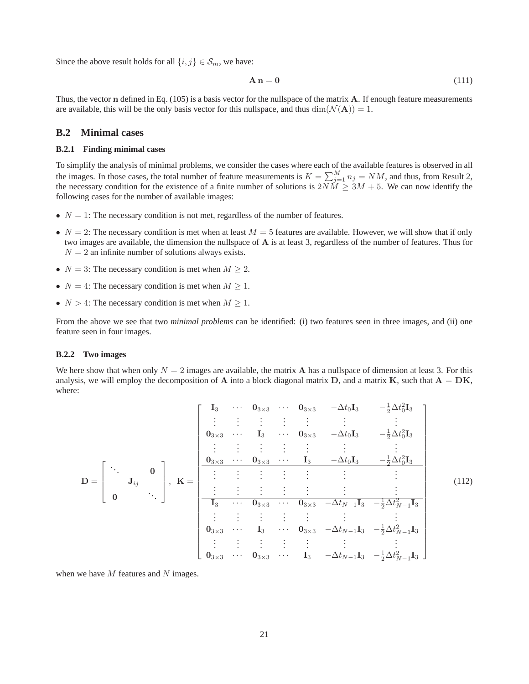Since the above result holds for all  $\{i, j\} \in S_m$ , we have:

$$
\mathbf{A}\,\mathbf{n} = \mathbf{0} \tag{111}
$$

Thus, the vector  $n$  defined in Eq. (105) is a basis vector for the nullspace of the matrix  $A$ . If enough feature measurements are available, this will be the only basis vector for this nullspace, and thus  $\dim(\mathcal{N}(\mathbf{A})) = 1$ .

### **B.2 Minimal cases**

### **B.2.1 Finding minimal cases**

To simplify the analysis of minimal problems, we consider the cases where each of the available features is observed in all the images. In those cases, the total number of feature measurements is  $K = \sum_{j=1}^{M} n_j = NM$ , and thus, from Result 2, the necessary condition for the existence of a finite number of solutions is  $2N\tilde{M} \geq 3M + 5$ . We can now identify the following cases for the number of available images:

- $N = 1$ : The necessary condition is not met, regardless of the number of features.
- $N = 2$ : The necessary condition is met when at least  $M = 5$  features are available. However, we will show that if only two images are available, the dimension the nullspace of A is at least 3, regardless of the number of features. Thus for  $N = 2$  an infinite number of solutions always exists.
- $N = 3$ : The necessary condition is met when  $M \ge 2$ .
- $N = 4$ : The necessary condition is met when  $M \geq 1$ .
- $N > 4$ : The necessary condition is met when  $M \geq 1$ .

From the above we see that two *minimal problems* can be identified: (i) two features seen in three images, and (ii) one feature seen in four images.

### **B.2.2 Two images**

We here show that when only  $N = 2$  images are available, the matrix **A** has a nullspace of dimension at least 3. For this analysis, we will employ the decomposition of A into a block diagonal matrix D, and a matrix K, such that  $A = DK$ , where:

$$
\mathbf{D} = \begin{bmatrix}\n\ddots & 0 \\
\vdots & \vdots \\
0_{3 \times 3} & \cdots & 0_{3 \times 3} & -\Delta t_{0} \mathbf{I}_{3} & -\frac{1}{2} \Delta t_{0}^{2} \mathbf{I}_{3} \\
\vdots & \vdots & \vdots & \vdots \\
0_{3 \times 3} & \cdots & 0_{3 \times 3} & -\Delta t_{0} \mathbf{I}_{3} & -\frac{1}{2} \Delta t_{0}^{2} \mathbf{I}_{3} \\
\vdots & \vdots & \vdots & \vdots & \vdots \\
0 & \ddots & \ddots & \vdots\n\end{bmatrix}, \quad \mathbf{K} = \begin{bmatrix}\n\ddots & 0 \\
\vdots & \vdots & \vdots \\
0_{3 \times 3} & \cdots & 0_{3 \times 3} & \cdots & 0_{3 \times 3} & -\Delta t_{0} \mathbf{I}_{3} & -\frac{1}{2} \Delta t_{0}^{2} \mathbf{I}_{3} \\
\vdots & \vdots & \vdots & \vdots & \vdots & \vdots \\
\hline\n\mathbf{I}_{3} & \cdots & 0_{3 \times 3} & \cdots & 0_{3 \times 3} & -\Delta t_{N-1} \mathbf{I}_{3} & -\frac{1}{2} \Delta t_{N-1}^{2} \mathbf{I}_{3} \\
\vdots & \vdots & \vdots & \vdots & \vdots & \vdots \\
0_{3 \times 3} & \cdots & 0_{3 \times 3} & \cdots & 0_{3 \times 3} & -\Delta t_{N-1} \mathbf{I}_{3} & -\frac{1}{2} \Delta t_{N-1}^{2} \mathbf{I}_{3} \\
\vdots & \vdots & \vdots & \vdots & \vdots & \vdots \\
0_{3 \times 3} & \cdots & 0_{3 \times 3} & \cdots & 0_{3 \times 3} & \cdots & 0_{3 \times 3} & -\Delta t_{N-1} \mathbf{I}_{3} & -\frac{1}{2} \Delta t_{N-1}^{2} \mathbf{I}_{3}\n\end{bmatrix}
$$
\n(112)

when we have  $M$  features and  $N$  images.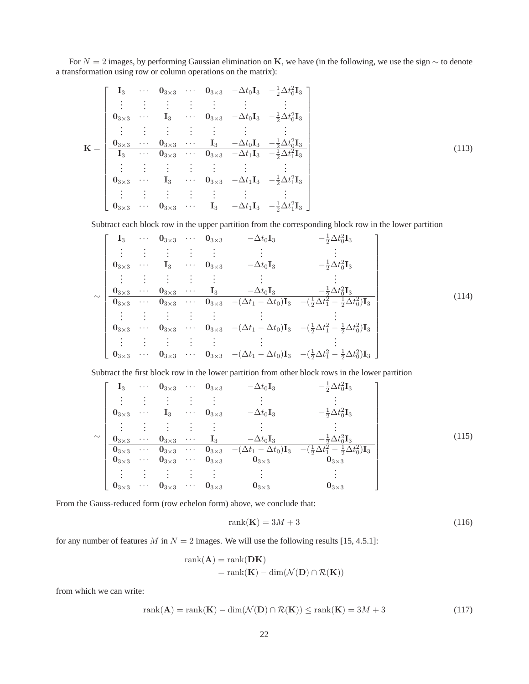For  $N = 2$  images, by performing Gaussian elimination on K, we have (in the following, we use the sign  $\sim$  to denote a transformation using row or column operations on the matrix):

$$
\mathbf{K} = \begin{bmatrix}\n\mathbf{I}_3 & \cdots & \mathbf{0}_{3 \times 3} & \cdots & \mathbf{0}_{3 \times 3} & -\Delta t_0 \mathbf{I}_3 & -\frac{1}{2} \Delta t_0^2 \mathbf{I}_3 \\
\vdots & \vdots & \vdots & \vdots & \vdots & \vdots \\
\mathbf{0}_{3 \times 3} & \cdots & \mathbf{I}_3 & \cdots & \mathbf{0}_{3 \times 3} & -\Delta t_0 \mathbf{I}_3 & -\frac{1}{2} \Delta t_0^2 \mathbf{I}_3 \\
\vdots & \vdots & \vdots & \vdots & \vdots & \vdots & \vdots \\
\mathbf{0}_{3 \times 3} & \cdots & \mathbf{0}_{3 \times 3} & \cdots & \mathbf{I}_3 & -\Delta t_0 \mathbf{I}_3 & -\frac{1}{2} \Delta t_0^2 \mathbf{I}_3 \\
\hline\n\mathbf{I}_3 & \cdots & \mathbf{0}_{3 \times 3} & \cdots & \mathbf{0}_{3 \times 3} & -\Delta t_1 \mathbf{I}_3 & -\frac{1}{2} \Delta t_1^2 \mathbf{I}_3 \\
\vdots & \vdots & \vdots & \vdots & \vdots & \vdots \\
\mathbf{0}_{3 \times 3} & \cdots & \mathbf{I}_3 & \cdots & \mathbf{0}_{3 \times 3} & -\Delta t_1 \mathbf{I}_3 & -\frac{1}{2} \Delta t_1^2 \mathbf{I}_3 \\
\vdots & \vdots & \vdots & \vdots & \vdots & \vdots \\
\mathbf{0}_{3 \times 3} & \cdots & \mathbf{0}_{3 \times 3} & \cdots & \mathbf{I}_3 & -\Delta t_1 \mathbf{I}_3 & -\frac{1}{2} \Delta t_1^2 \mathbf{I}_3\n\end{bmatrix}
$$
\n(113)

Subtract each block row in the upper partition from the corresponding block row in the lower partition

$$
\sim \begin{bmatrix}\n\mathbf{I}_{3} & \cdots & \mathbf{0}_{3\times 3} & \cdots & \mathbf{0}_{3\times 3} & -\Delta t_{0} \mathbf{I}_{3} & -\frac{1}{2} \Delta t_{0}^{2} \mathbf{I}_{3} \\
\vdots & \vdots & \vdots & \vdots & \vdots & \vdots & \vdots \\
\mathbf{0}_{3\times 3} & \cdots & \mathbf{I}_{3} & \cdots & \mathbf{0}_{3\times 3} & -\Delta t_{0} \mathbf{I}_{3} & -\frac{1}{2} \Delta t_{0}^{2} \mathbf{I}_{3} \\
\vdots & \vdots & \vdots & \vdots & \vdots & \vdots & \vdots \\
\mathbf{0}_{3\times 3} & \cdots & \mathbf{0}_{3\times 3} & \cdots & \mathbf{I}_{3} & -\Delta t_{0} \mathbf{I}_{3} & -\frac{1}{2} \Delta t_{0}^{2} \mathbf{I}_{3} \\
\hline\n\vdots & \vdots & \vdots & \vdots & \vdots & \vdots \\
\mathbf{0}_{3\times 3} & \cdots & \mathbf{0}_{3\times 3} & \cdots & \mathbf{0}_{3\times 3} & -(\Delta t_{1} - \Delta t_{0}) \mathbf{I}_{3} & -(\frac{1}{2} \Delta t_{1}^{2} - \frac{1}{2} \Delta t_{0}^{2}) \mathbf{I}_{3} \\
\vdots & \vdots & \vdots & \vdots & \vdots & \vdots \\
\mathbf{0}_{3\times 3} & \cdots & \mathbf{0}_{3\times 3} & \cdots & \mathbf{0}_{3\times 3} & -(\Delta t_{1} - \Delta t_{0}) \mathbf{I}_{3} & -(\frac{1}{2} \Delta t_{1}^{2} - \frac{1}{2} \Delta t_{0}^{2}) \mathbf{I}_{3} \\
\vdots & \vdots & \vdots & \vdots & \vdots & \vdots \\
\mathbf{0}_{3\times 3} & \cdots & \mathbf{0}_{3\times 3} & \cdots & \mathbf{0}_{3\times 3} & -(\Delta t_{1} - \Delta t_{0}) \mathbf{I}_{3} & -(\frac{1}{2} \Delta t_{1}^{2} - \frac{1}{2} \Delta t_{0}^{2}) \mathbf{I}_{3}\n\end{bmatrix}
$$
\n(114)

Subtract the first block row in the lower partition from other block rows in the lower partition

$$
\sim \begin{bmatrix}\nI_3 & \cdots & 0_{3\times 3} & \cdots & 0_{3\times 3} & -\Delta t_0 I_3 & -\frac{1}{2}\Delta t_0^2 I_3 \\
\vdots & \vdots & \vdots & \vdots & \vdots & \vdots \\
0_{3\times 3} & \cdots & 1_3 & \cdots & 0_{3\times 3} & -\Delta t_0 I_3 & -\frac{1}{2}\Delta t_0^2 I_3 \\
\vdots & \vdots & \vdots & \vdots & \vdots & \vdots & \vdots \\
0_{3\times 3} & \cdots & 0_{3\times 3} & \cdots & 1_3 & -\Delta t_0 I_3 & -\frac{1}{2}\Delta t_0^2 I_3 \\
\hline\n0_{3\times 3} & \cdots & 0_{3\times 3} & \cdots & 0_{3\times 3} & -(\Delta t_1 - \Delta t_0) I_3 & -(\frac{1}{2}\Delta t_1^2 - \frac{1}{2}\Delta t_0^2) I_3 \\
0_{3\times 3} & \cdots & 0_{3\times 3} & \cdots & 0_{3\times 3} & 0_{3\times 3} & 0_{3\times 3} \\
\vdots & \vdots & \vdots & \vdots & \vdots & \vdots & \vdots \\
0_{3\times 3} & \cdots & 0_{3\times 3} & \cdots & 0_{3\times 3} & 0_{3\times 3} & 0_{3\times 3}\n\end{bmatrix}
$$
\n(115)

From the Gauss-reduced form (row echelon form) above, we conclude that:

$$
rank(\mathbf{K}) = 3M + 3\tag{116}
$$

for any number of features M in  $N = 2$  images. We will use the following results [15, 4.5.1]:

$$
rank(\mathbf{A}) = rank(\mathbf{D}\mathbf{K})
$$
  
= rank(\mathbf{K}) - dim(\mathcal{N}(\mathbf{D}) \cap \mathcal{R}(\mathbf{K}))

from which we can write:

$$
rank(\mathbf{A}) = rank(\mathbf{K}) - dim(\mathcal{N}(\mathbf{D}) \cap \mathcal{R}(\mathbf{K})) \le rank(\mathbf{K}) = 3M + 3
$$
\n(117)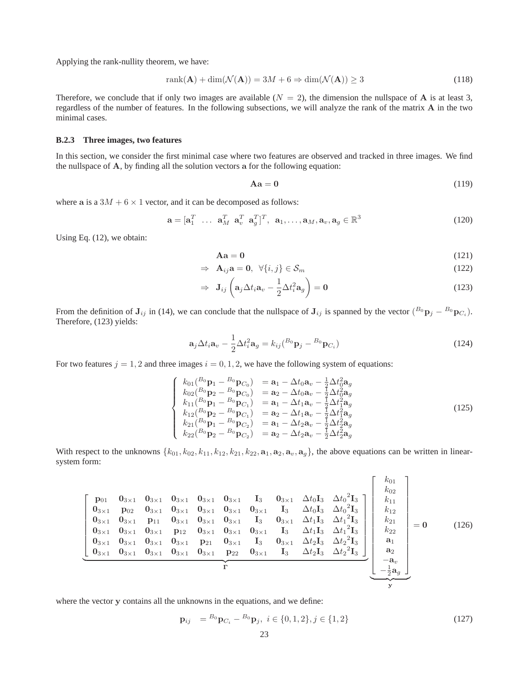Applying the rank-nullity theorem, we have:

$$
rank(\mathbf{A}) + dim(\mathcal{N}(\mathbf{A})) = 3M + 6 \Rightarrow dim(\mathcal{N}(\mathbf{A})) \ge 3
$$
\n(118)

Therefore, we conclude that if only two images are available  $(N = 2)$ , the dimension the nullspace of **A** is at least 3, regardless of the number of features. In the following subsections, we will analyze the rank of the matrix A in the two minimal cases.

#### **B.2.3 Three images, two features**

In this section, we consider the first minimal case where two features are observed and tracked in three images. We find the nullspace of A, by finding all the solution vectors a for the following equation:

$$
Aa = 0 \tag{119}
$$

where a is a  $3M + 6 \times 1$  vector, and it can be decomposed as follows:

$$
\mathbf{a} = [\mathbf{a}_1^T \ \dots \ \mathbf{a}_M^T \ \mathbf{a}_v^T \ \mathbf{a}_g^T]^T, \ \mathbf{a}_1, \dots, \mathbf{a}_M, \mathbf{a}_v, \mathbf{a}_g \in \mathbb{R}^3
$$
 (120)

Using Eq. (12), we obtain:

$$
Aa = 0 \tag{121}
$$

$$
\Rightarrow \mathbf{A}_{ij}\mathbf{a} = \mathbf{0}, \ \forall \{i, j\} \in \mathcal{S}_m \tag{122}
$$

$$
\Rightarrow \mathbf{J}_{ij} \left( \mathbf{a}_j \Delta t_i \mathbf{a}_v - \frac{1}{2} \Delta t_i^2 \mathbf{a}_g \right) = \mathbf{0}
$$
 (123)

From the definition of  $J_{ij}$  in (14), we can conclude that the nullspace of  $J_{ij}$  is spanned by the vector  $(^{B_0}p_j - ^{B_0}p_{C_i})$ . Therefore, (123) yields:

$$
\mathbf{a}_{j} \Delta t_{i} \mathbf{a}_{v} - \frac{1}{2} \Delta t_{i}^{2} \mathbf{a}_{g} = k_{ij} ({}^{B_{0}} \mathbf{p}_{j} - {}^{B_{0}} \mathbf{p}_{C_{i}})
$$
\n(124)

For two features  $j = 1, 2$  and three images  $i = 0, 1, 2$ , we have the following system of equations:

$$
\begin{cases}\nk_{01}(^{B_{0}}p_{1} - ^{B_{0}}p_{C_{0}}) & = \mathbf{a}_{1} - \Delta t_{0}\mathbf{a}_{v} - \frac{1}{2}\Delta t_{0}^{2}\mathbf{a}_{g} \\
k_{02}(^{B_{0}}p_{2} - ^{B_{0}}p_{C_{0}}) & = \mathbf{a}_{2} - \Delta t_{0}\mathbf{a}_{v} - \frac{1}{2}\Delta t_{0}^{2}\mathbf{a}_{g} \\
k_{11}(^{B_{0}}p_{1} - ^{B_{0}}p_{C_{1}}) & = \mathbf{a}_{1} - \Delta t_{1}\mathbf{a}_{v} - \frac{1}{2}\Delta t_{1}^{2}\mathbf{a}_{g} \\
k_{12}(^{B_{0}}p_{2} - ^{B_{0}}p_{C_{1}}) & = \mathbf{a}_{2} - \Delta t_{1}\mathbf{a}_{v} - \frac{1}{2}\Delta t_{1}^{2}\mathbf{a}_{g} \\
k_{21}(^{B_{0}}p_{1} - ^{B_{0}}p_{C_{2}}) & = \mathbf{a}_{1} - \Delta t_{2}\mathbf{a}_{v} - \frac{1}{2}\Delta t_{2}^{2}\mathbf{a}_{g} \\
k_{22}(^{B_{0}}p_{2} - ^{B_{0}}p_{C_{2}}) & = \mathbf{a}_{2} - \Delta t_{2}\mathbf{a}_{v} - \frac{1}{2}\Delta t_{2}^{2}\mathbf{a}_{g}\n\end{cases}
$$
\n(125)

With respect to the unknowns  $\{k_{01}, k_{02}, k_{11}, k_{12}, k_{21}, k_{22}, a_1, a_2, a_v, a_g\}$ , the above equations can be written in linearsystem form:

$$
\begin{bmatrix}\n\mathbf{p}_{01} & \mathbf{0}_{3\times 1} & \mathbf{0}_{3\times 1} & \mathbf{0}_{3\times 1} & \mathbf{0}_{3\times 1} & \mathbf{0}_{3\times 1} & \mathbf{I}_{3} & \mathbf{0}_{3\times 1} & \Delta t_{0} \mathbf{I}_{3} & \Delta t_{0}^{2} \mathbf{I}_{3} \\
\mathbf{0}_{3\times 1} & \mathbf{p}_{02} & \mathbf{0}_{3\times 1} & \mathbf{0}_{3\times 1} & \mathbf{0}_{3\times 1} & \mathbf{0}_{3\times 1} & \mathbf{I}_{3} & \Delta t_{0} \mathbf{I}_{3} & \Delta t_{0}^{2} \mathbf{I}_{3} \\
\mathbf{0}_{3\times 1} & \mathbf{0}_{3\times 1} & \mathbf{p}_{11} & \mathbf{0}_{3\times 1} & \mathbf{0}_{3\times 1} & \mathbf{0}_{3\times 1} & \mathbf{I}_{3} & \Delta t_{0} \mathbf{I}_{3} & \Delta t_{0}^{2} \mathbf{I}_{3} \\
\mathbf{0}_{3\times 1} & \mathbf{0}_{3\times 1} & \mathbf{0}_{3\times 1} & \mathbf{p}_{12} & \mathbf{0}_{3\times 1} & \mathbf{0}_{3\times 1} & \mathbf{0}_{3\times 1} & \mathbf{I}_{3} & \Delta t_{1} \mathbf{I}_{3} & \Delta t_{1}^{2} \mathbf{I}_{3} \\
\mathbf{0}_{3\times 1} & \mathbf{0}_{3\times 1} & \mathbf{0}_{3\times 1} & \mathbf{0}_{3\times 1} & \mathbf{p}_{21} & \mathbf{0}_{3\times 1} & \mathbf{I}_{3} & \mathbf{0}_{3\times 1} & \Delta t_{2} \mathbf{I}_{3} & \Delta t_{2}^{2} \mathbf{I}_{3} \\
\mathbf{0}_{3\times 1} & \mathbf{0}_{3\times 1} & \mathbf{0}_{3\times 1} & \mathbf{0}_{3\times 1} & \mathbf{p}_{21} & \mathbf{0}_{3\times 1} & \mathbf{I}_{3} & \mathbf{0}_{3\times 1} & \Delta t_{2} \mathbf{I}_{3} & \Delta t_{2}^{2} \mathbf{I}_{3}
$$

where the vector y contains all the unknowns in the equations, and we define:

$$
\mathbf{p}_{ij} = {}^{B_0}\mathbf{p}_{C_i} - {}^{B_0}\mathbf{p}_j, \ i \in \{0, 1, 2\}, j \in \{1, 2\}
$$
\n(127)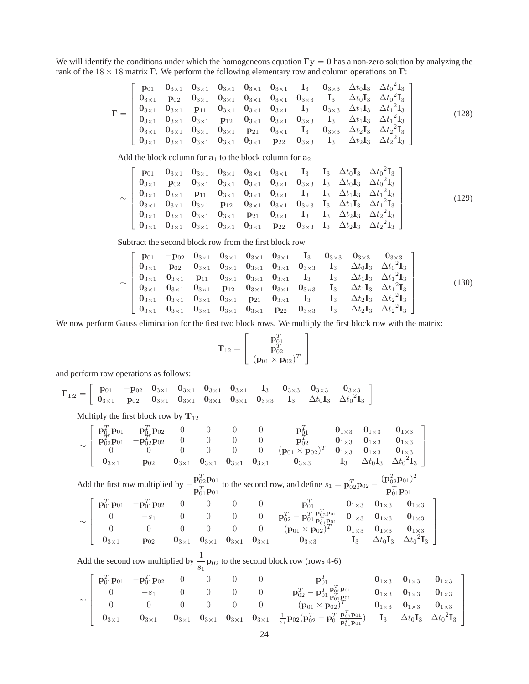We will identify the conditions under which the homogeneous equation  $\Gamma y = 0$  has a non-zero solution by analyzing the rank of the  $18 \times 18$  matrix Γ. We perform the following elementary row and column operations on Γ:

$$
\Gamma = \begin{bmatrix}\n\mathbf{p}_{01} & \mathbf{0}_{3\times1} & \mathbf{0}_{3\times1} & \mathbf{0}_{3\times1} & \mathbf{0}_{3\times1} & \mathbf{1}_{3} & \mathbf{0}_{3\times3} & \Delta t_{0} \mathbf{I}_{3} & \Delta t_{0}^{2} \mathbf{I}_{3} \\
\mathbf{0}_{3\times1} & \mathbf{p}_{02} & \mathbf{0}_{3\times1} & \mathbf{0}_{3\times1} & \mathbf{0}_{3\times1} & \mathbf{0}_{3\times1} & \mathbf{0}_{3\times3} & \mathbf{I}_{3} & \Delta t_{0} \mathbf{I}_{3} & \Delta t_{0}^{2} \mathbf{I}_{3} \\
\mathbf{0}_{3\times1} & \mathbf{0}_{3\times1} & \mathbf{p}_{11} & \mathbf{0}_{3\times1} & \mathbf{0}_{3\times1} & \mathbf{0}_{3\times1} & \mathbf{I}_{3} & \mathbf{0}_{3\times3} & \Delta t_{1} \mathbf{I}_{3} & \Delta t_{1}^{2} \mathbf{I}_{3} \\
\mathbf{0}_{3\times1} & \mathbf{0}_{3\times1} & \mathbf{0}_{3\times1} & \mathbf{p}_{12} & \mathbf{0}_{3\times1} & \mathbf{0}_{3\times1} & \mathbf{0}_{3\times3} & \mathbf{I}_{3} & \Delta t_{1} \mathbf{I}_{3} & \Delta t_{1}^{2} \mathbf{I}_{3} \\
\mathbf{0}_{3\times1} & \mathbf{0}_{3\times1} & \mathbf{0}_{3\times1} & \mathbf{0}_{3\times1} & \mathbf{p}_{21} & \mathbf{0}_{3\times1} & \mathbf{I}_{3} & \mathbf{0}_{3\times3} & \Delta t_{2} \mathbf{I}_{3} & \Delta t_{2}^{2} \mathbf{I}_{3} \\
\mathbf{0}_{3\times1} & \mathbf{0}_{3\times1} & \mathbf{0}_{3\times1} & \mathbf{0}_{3\times1} & \mathbf{0}_{3\times1} & \mathbf{p}_{22} & \mathbf{0}_{3\times3} & \mathbf{I}_{3} & \Delta t_{2} \mathbf{I}_{3} & \Delta t_{2}^{2} \mathbf{I}_{3}\n\end{bmatrix} (128)
$$

Add the block column for  $a_1$  to the block column for  $a_2$ 

$$
\sim \begin{bmatrix} p_{01} & 0_{3\times 1} & 0_{3\times 1} & 0_{3\times 1} & 0_{3\times 1} & 0_{3\times 1} & I_3 & I_3 & \Delta t_0 I_3 & \Delta t_0^2 I_3 \\ 0_{3\times 1} & p_{02} & 0_{3\times 1} & 0_{3\times 1} & 0_{3\times 1} & 0_{3\times 1} & 0_{3\times 3} & I_3 & \Delta t_0 I_3 & \Delta t_0^2 I_3 \\ 0_{3\times 1} & 0_{3\times 1} & p_{11} & 0_{3\times 1} & 0_{3\times 1} & 0_{3\times 1} & I_3 & I_3 & \Delta t_1 I_3 & \Delta t_1^2 I_3 \\ 0_{3\times 1} & 0_{3\times 1} & 0_{3\times 1} & p_{12} & 0_{3\times 1} & 0_{3\times 1} & 0_{3\times 3} & I_3 & \Delta t_1 I_3 & \Delta t_1^2 I_3 \\ 0_{3\times 1} & 0_{3\times 1} & 0_{3\times 1} & 0_{3\times 1} & p_{21} & 0_{3\times 1} & I_3 & I_3 & \Delta t_2 I_3 & \Delta t_2^2 I_3 \\ 0_{3\times 1} & 0_{3\times 1} & 0_{3\times 1} & 0_{3\times 1} & 0_{3\times 1} & p_{22} & 0_{3\times 3} & I_3 & \Delta t_2 I_3 & \Delta t_2^2 I_3 \end{bmatrix} \tag{129}
$$

Subtract the second block row from the first block row

$$
\sim \begin{bmatrix}\n\mathbf{p}_{01} & -\mathbf{p}_{02} & \mathbf{0}_{3\times 1} & \mathbf{0}_{3\times 1} & \mathbf{0}_{3\times 1} & \mathbf{I}_{3} & \mathbf{0}_{3\times 3} & \mathbf{0}_{3\times 3} & \mathbf{0}_{3\times 3} \\
\mathbf{0}_{3\times 1} & \mathbf{p}_{02} & \mathbf{0}_{3\times 1} & \mathbf{0}_{3\times 1} & \mathbf{0}_{3\times 1} & \mathbf{0}_{3\times 1} & \mathbf{0}_{3\times 3} & \mathbf{I}_{3} & \Delta t_{0} \mathbf{I}_{3} & \Delta t_{0}^{2} \mathbf{I}_{3} \\
\mathbf{0}_{3\times 1} & \mathbf{0}_{3\times 1} & \mathbf{p}_{11} & \mathbf{0}_{3\times 1} & \mathbf{0}_{3\times 1} & \mathbf{0}_{3\times 1} & \mathbf{I}_{3} & \mathbf{I}_{3} & \Delta t_{1} \mathbf{I}_{3} & \Delta t_{1}^{2} \mathbf{I}_{3} \\
\mathbf{0}_{3\times 1} & \mathbf{0}_{3\times 1} & \mathbf{0}_{3\times 1} & \mathbf{p}_{12} & \mathbf{0}_{3\times 1} & \mathbf{0}_{3\times 1} & \mathbf{0}_{3\times 3} & \mathbf{I}_{3} & \Delta t_{1} \mathbf{I}_{3} & \Delta t_{1}^{2} \mathbf{I}_{3} \\
\mathbf{0}_{3\times 1} & \mathbf{0}_{3\times 1} & \mathbf{0}_{3\times 1} & \mathbf{0}_{3\times 1} & \mathbf{p}_{21} & \mathbf{0}_{3\times 1} & \mathbf{I}_{3} & \mathbf{I}_{3} & \Delta t_{2} \mathbf{I}_{3} & \Delta t_{2}^{2} \mathbf{I}_{3} \\
\mathbf{0}_{3\times 1} & \mathbf{0}_{3\times 1} & \mathbf{0}_{3\times 1} & \mathbf{0}_{3\times 1} & \mathbf{0}_{3\times 1} & \mathbf{p}_{22} & \mathbf{0}_{3\times 3} & \mathbf{I}_{3} & \Delta t_{2} \mathbf{I}_{3} & \Delta t_{2}^{2} \mathbf{I}_{3} \\
\
$$

We now perform Gauss elimination for the first two block rows. We multiply the first block row with the matrix:

$$
\mathbf{T}_{12} = \left[ \begin{array}{c} \mathbf{p}_{01}^T \\ \mathbf{p}_{02}^T \\ (\mathbf{p}_{01} \times \mathbf{p}_{02})^T \end{array} \right]
$$

and perform row operations as follows:

$$
\bm{\Gamma}_{1:2} = \left[\begin{array}{cccccccccc} \mathbf{p}_{01} & -\mathbf{p}_{02} & \mathbf{0}_{3 \times 1} & \mathbf{0}_{3 \times 1} & \mathbf{0}_{3 \times 1} & \mathbf{0}_{3 \times 1} & \mathbf{I}_{3} & \mathbf{0}_{3 \times 3} & \mathbf{0}_{3 \times 3} & \mathbf{0}_{3 \times 3} \\ \mathbf{0}_{3 \times 1} & \mathbf{p}_{02} & \mathbf{0}_{3 \times 1} & \mathbf{0}_{3 \times 1} & \mathbf{0}_{3 \times 1} & \mathbf{0}_{3 \times 1} & \mathbf{0}_{3 \times 3} & \mathbf{I}_{3} & \Delta t_0 \mathbf{I}_{3} & \Delta t_0^2 \mathbf{I}_{3} \end{array}\right]
$$

Multiply the first block row by  $T_{12}$ 

$$
\sim \left[\begin{array}{cccccccc} {\bf p}_{01}^T{\bf p}_{01} & -{\bf p}_{01}^T{\bf p}_{02} & 0 & 0 & 0 & {\bf p}_{01}^T & {\bf 0}_{1\times 3} & {\bf 0}_{1\times 3} \\ {\bf p}_{02}^T{\bf p}_{01} & -{\bf p}_{02}^T{\bf p}_{02} & 0 & 0 & 0 & 0 & {\bf p}_{02}^T & {\bf 0}_{1\times 3} & {\bf 0}_{1\times 3} & {\bf 0}_{1\times 3} \\ 0 & 0 & 0 & 0 & 0 & 0 & ({\bf p}_{01}\times{\bf p}_{02})^T & {\bf 0}_{1\times 3} & {\bf 0}_{1\times 3} & {\bf 0}_{1\times 3} \\ {\bf 0}_{3\times 1} & {\bf p}_{02} & {\bf 0}_{3\times 1} & {\bf 0}_{3\times 1} & {\bf 0}_{3\times 1} & {\bf 0}_{3\times 1} & {\bf 0}_{3\times 3} & {\bf I}_{3} & \Delta t_0{\bf I}_{3} & \Delta t_0{\bf 1}_{3} \end{array}\right]
$$

Add the first row multiplied by  $-\frac{\mathbf{p}_{02}^T \mathbf{p}_{01}}{T}$  $\frac{\mathbf{p}_{02}^T \mathbf{p}_{01}}{\mathbf{p}_{01}^T \mathbf{p}_{01}}$  to the second row, and define  $s_1 = \mathbf{p}_{02}^T \mathbf{p}_{02} - \frac{(\mathbf{p}_{02}^T \mathbf{p}_{01})^2}{\mathbf{p}_{01}^T \mathbf{p}_{01}}$  $\mathbf{p}_{01}^T \mathbf{p}_{01}$ ∼  $\sqrt{ }$   ${\bf p}_{01}^T {\bf p}_{01}$   $-{\bf p}_{01}^T {\bf p}_{02}$  0 0 0  ${\bf p}_{01}^T$   ${\bf 0}_{1\times 3}$   ${\bf 0}_{1\times 3}$   ${\bf 0}_{1\times 3}$ 0 −s<sub>1</sub> 0 0 0 0  $\mathbf{p}_{02}^T - \mathbf{p}_{01}^T \frac{\mathbf{p}_{02}^T \mathbf{p}_{01}}{\mathbf{p}_{01}^T \mathbf{p}_{01}^0}$  0<sub>1×3</sub> 0<sub>1×3</sub>  $0$  0 0 0 0  $(p_{01} \times p_{02})^T$   $0_{1 \times 3}$   $0_{1 \times 3}$   $0_{1 \times 3}$  $\mathbf{0}_{3\times 1}$  p<sub>02</sub>  $\mathbf{0}_{3\times 1}$   $\mathbf{0}_{3\times 1}$   $\mathbf{0}_{3\times 1}$   $\mathbf{0}_{3\times 1}$   $\mathbf{0}_{3\times 3}$   $\mathbf{I}_3$   $\Delta t_0\mathbf{I}_3$   $\Delta t_0^2\mathbf{I}_3$ 1 

Add the second row multiplied by  $\frac{1}{s_1}$ **P**<sub>02</sub> to the second block row (rows 4-6)

$$
\sim \left[\begin{array}{cccccccc} {\bf p}_{01}^T{\bf p}_{01} & -{\bf p}_{01}^T{\bf p}_{02} & 0 & 0 & 0 & {\bf p}_{01}^T & {\bf p}_{01}^T & {\bf p}_{01} \\ 0 & -s_1 & 0 & 0 & 0 & 0 & {\bf p}_{02}^T-{\bf p}_{01}^T\frac{{\bf p}_{02}^T{\bf p}_{01}}{\bf p}_{01}^T & {\bf 0}_{1\times 3} & {\bf 0}_{1\times 3} & {\bf 0}_{1\times 3} \\ 0 & 0 & 0 & 0 & 0 & 0 & ({\bf p}_{01}\times{\bf p}_{02})^T & {\bf 0}_{1\times 3} & {\bf 0}_{1\times 3} & {\bf 0}_{1\times 3} \\ {\bf 0}_{3\times 1} & {\bf 0}_{3\times 1} & {\bf 0}_{3\times 1} & {\bf 0}_{3\times 1} & {\bf 0}_{3\times 1} & {\bf 0}_{3\times 1} & \frac{1}{s_1}{\bf p}_{02}({\bf p}_{02}^T-{\bf p}_{01}^T\frac{{\bf p}_{02}^T{\bf p}_{01}}{\bf p}_{01}^T) & {\bf I}_3 & \Delta t_0{\bf I}_3 & \Delta t_0^2{\bf I}_3 \end{array}\right]
$$

1  $\mathbf{I}$  $\overline{1}$  $\overline{1}$  $\overline{1}$  $\overline{1}$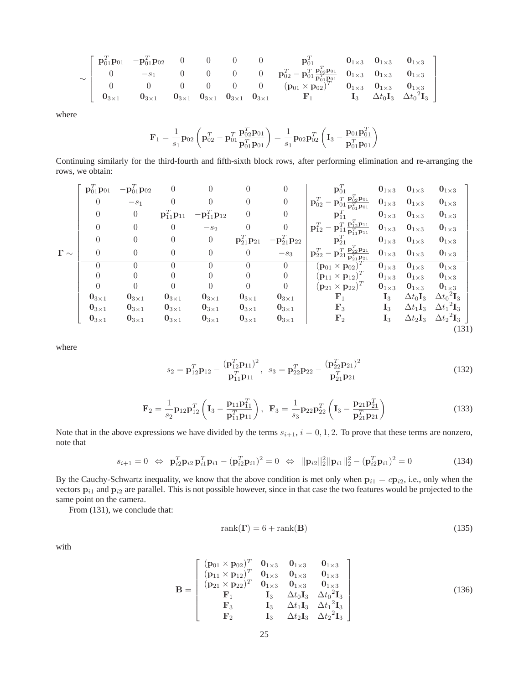$$
\sim \left[\begin{array}{cccccccc} {\bf p}_{01}^T{\bf p}_{01} & -{\bf p}_{01}^T{\bf p}_{02} & 0 & 0 & 0 & {\bf p}_{01}^T & {\bf 0}_{1\times 3} & {\bf 0}_{1\times 3} & {\bf 0}_{1\times 3} \\ 0 & -s_1 & 0 & 0 & 0 & {\bf p}_{02}^T-{\bf p}_{01}^T\frac{{\bf p}_{02}^T{\bf p}_{01}}{\bf p}_{01}^T{\bf p}_{01}} & {\bf 0}_{1\times 3} & {\bf 0}_{1\times 3} \\ 0 & 0 & 0 & 0 & 0 & ({\bf p}_{01}\times{\bf p}_{02})^T & {\bf 0}_{1\times 3} & {\bf 0}_{1\times 3} & {\bf 0}_{1\times 3} \\ {\bf 0}_{3\times 1} & {\bf 0}_{3\times 1} & {\bf 0}_{3\times 1} & {\bf 0}_{3\times 1} & {\bf 0}_{3\times 1} & {\bf 0}_{3\times 1} & {\bf F}_1 & {\bf I}_3 & \Delta t_0{\bf I}_3 & \Delta t_0{\bf 1}_3 \end{array}\right]
$$

where

$$
\mathbf{F}_1 = \frac{1}{s_1} \mathbf{p}_{02} \left( \mathbf{p}_{02}^T - \mathbf{p}_{01}^T \frac{\mathbf{p}_{02}^T \mathbf{p}_{01}}{\mathbf{p}_{01}^T \mathbf{p}_{01}} \right) = \frac{1}{s_1} \mathbf{p}_{02} \mathbf{p}_{02}^T \left( \mathbf{I}_3 - \frac{\mathbf{p}_{01} \mathbf{p}_{01}^T}{\mathbf{p}_{01}^T \mathbf{p}_{01}} \right)
$$

Continuing similarly for the third-fourth and fifth-sixth block rows, after performing elimination and re-arranging the rows, we obtain:

$$
\Gamma \sim \left[\begin{array}{cccccccc} \mathbf{p}_{01}^T \mathbf{p}_{01} & -\mathbf{p}_{01}^T \mathbf{p}_{02} & 0 & 0 & 0 & 0 & \mathbf{p}_{01}^T & \mathbf{0}_{1\times3} & \mathbf{0}_{1\times3} & \mathbf{0}_{1\times3} & \mathbf{0}_{1\times3} \\ 0 & -s_1 & 0 & 0 & 0 & 0 & 0 & \mathbf{p}_{02}^T - \mathbf{p}_{01}^T \mathbf{p}_{02}^T \mathbf{p}_{01} & \mathbf{0}_{1\times3} & \mathbf{0}_{1\times3} & \mathbf{0}_{1\times3} \\ 0 & 0 & \mathbf{p}_{11}^T \mathbf{p}_{11} & -\mathbf{p}_{11}^T \mathbf{p}_{12} & 0 & 0 & \mathbf{p}_{11}^T & \mathbf{0}_{1\times3} & \mathbf{0}_{1\times3} & \mathbf{0}_{1\times3} \\ 0 & 0 & 0 & -s_2 & 0 & 0 & \mathbf{p}_{21}^T \mathbf{p}_{21} & -\mathbf{p}_{21}^T \mathbf{p}_{22} \\ 0 & 0 & 0 & 0 & 0 & -s_3 & \mathbf{p}_{22}^T - \mathbf{p}_{21}^T \mathbf{p}_{22} & \mathbf{p}_{21}^T & \mathbf{0}_{1\times3} & \mathbf{0}_{1\times3} & \mathbf{0}_{1\times3} \\ 0 & 0 & 0 & 0 & 0 & 0 & 0 & (\mathbf{p}_{01} \times \mathbf{p}_{02})^T & \mathbf{0}_{1\times3} & \mathbf{0}_{1\times3} & \mathbf{0}_{1\times3} \\ 0 & 0 & 0 & 0 & 0 & 0 & 0 & (\mathbf{p}_{01} \times \mathbf{p}_{12})^T & \mathbf{0}_{1\times3} & \mathbf{0}_{1\times3} & \mathbf{0}_{1\times3} \\ 0 & 0 & 0 & 0 & 0 & 0 & 0 & (\mathbf{p}_{11} \times \mathbf{p}_{12})^T & \mathbf{0}_{1\times3} & \mathbf{0}_{1\times3} & \mathbf{0}_{1\times3} \\ 0 & 0 & 0 & 0 & 0 & 0 & 0 &
$$

where

$$
s_2 = \mathbf{p}_{12}^T \mathbf{p}_{12} - \frac{(\mathbf{p}_{12}^T \mathbf{p}_{11})^2}{\mathbf{p}_{11}^T \mathbf{p}_{11}}, \ \ s_3 = \mathbf{p}_{22}^T \mathbf{p}_{22} - \frac{(\mathbf{p}_{22}^T \mathbf{p}_{21})^2}{\mathbf{p}_{21}^T \mathbf{p}_{21}}
$$
(132)

$$
\mathbf{F}_2 = \frac{1}{s_2} \mathbf{p}_{12} \mathbf{p}_{12}^T \left( \mathbf{I}_3 - \frac{\mathbf{p}_{11} \mathbf{p}_{11}^T}{\mathbf{p}_{11}^T \mathbf{p}_{11}} \right), \ \ \mathbf{F}_3 = \frac{1}{s_3} \mathbf{p}_{22} \mathbf{p}_{22}^T \left( \mathbf{I}_3 - \frac{\mathbf{p}_{21} \mathbf{p}_{21}^T}{\mathbf{p}_{21}^T \mathbf{p}_{21}} \right) \tag{133}
$$

Note that in the above expressions we have divided by the terms  $s_{i+1}$ ,  $i = 0, 1, 2$ . To prove that these terms are nonzero, note that

$$
s_{i+1} = 0 \Leftrightarrow \mathbf{p}_{i2}^T \mathbf{p}_{i2} \mathbf{p}_{i1}^T \mathbf{p}_{i1} - (\mathbf{p}_{i2}^T \mathbf{p}_{i1})^2 = 0 \Leftrightarrow ||\mathbf{p}_{i2}||_2^2 ||\mathbf{p}_{i1}||_2^2 - (\mathbf{p}_{i2}^T \mathbf{p}_{i1})^2 = 0
$$
\n(134)

By the Cauchy-Schwartz inequality, we know that the above condition is met only when  $p_{i1} = cp_{i2}$ , i.e., only when the vectors  $p_{i1}$  and  $p_{i2}$  are parallel. This is not possible however, since in that case the two features would be projected to the same point on the camera.

From (131), we conclude that:

$$
rank(\Gamma) = 6 + rank(B)
$$
\n(135)

with

$$
\mathbf{B} = \begin{bmatrix} (\mathbf{p}_{01} \times \mathbf{p}_{02})^T & \mathbf{0}_{1 \times 3} & \mathbf{0}_{1 \times 3} & \mathbf{0}_{1 \times 3} \\ (\mathbf{p}_{11} \times \mathbf{p}_{12})^T & \mathbf{0}_{1 \times 3} & \mathbf{0}_{1 \times 3} & \mathbf{0}_{1 \times 3} \\ (\mathbf{p}_{21} \times \mathbf{p}_{22})^T & \mathbf{0}_{1 \times 3} & \mathbf{0}_{1 \times 3} & \mathbf{0}_{1 \times 3} \\ \mathbf{F}_1 & \mathbf{I}_3 & \Delta t_0 \mathbf{I}_3 & \Delta t_0^2 \mathbf{I}_3 \\ \mathbf{F}_3 & \mathbf{I}_3 & \Delta t_1 \mathbf{I}_3 & \Delta t_1^2 \mathbf{I}_3 \\ \mathbf{F}_2 & \mathbf{I}_3 & \Delta t_2 \mathbf{I}_3 & \Delta t_2^2 \mathbf{I}_3 \end{bmatrix} \tag{136}
$$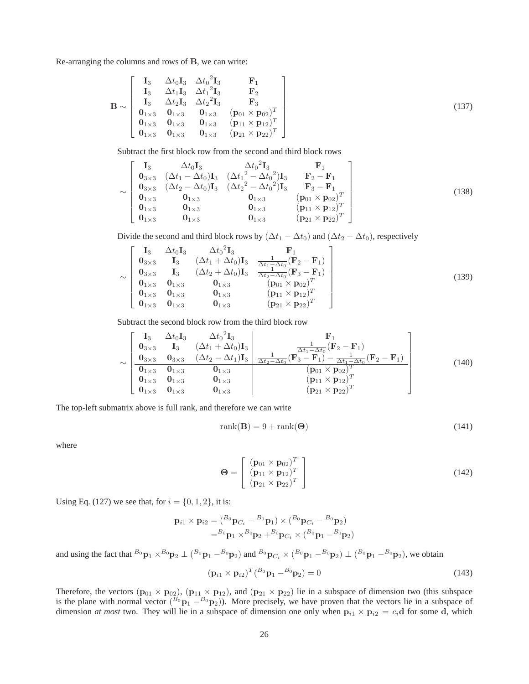Re-arranging the columns and rows of B, we can write:

$$
\mathbf{B} \sim\n\begin{bmatrix}\n\mathbf{I}_3 & \Delta t_0 \mathbf{I}_3 & \Delta t_0^2 \mathbf{I}_3 & \mathbf{F}_1 \\
\mathbf{I}_3 & \Delta t_1 \mathbf{I}_3 & \Delta t_1^2 \mathbf{I}_3 & \mathbf{F}_2 \\
\mathbf{I}_3 & \Delta t_2 \mathbf{I}_3 & \Delta t_2^2 \mathbf{I}_3 & \mathbf{F}_3 \\
\mathbf{0}_{1 \times 3} & \mathbf{0}_{1 \times 3} & \mathbf{0}_{1 \times 3} & (\mathbf{p}_{01} \times \mathbf{p}_{02})^T \\
\mathbf{0}_{1 \times 3} & \mathbf{0}_{1 \times 3} & \mathbf{0}_{1 \times 3} & (\mathbf{p}_{11} \times \mathbf{p}_{12})^T \\
\mathbf{0}_{1 \times 3} & \mathbf{0}_{1 \times 3} & \mathbf{0}_{1 \times 3} & (\mathbf{p}_{21} \times \mathbf{p}_{22})^T\n\end{bmatrix} \tag{137}
$$

Subtract the first block row from the second and third block rows

$$
\sim \begin{bmatrix}\n\mathbf{I}_3 & \Delta t_0 \mathbf{I}_3 & \Delta t_0^2 \mathbf{I}_3 & \mathbf{F}_1 \\
\mathbf{0}_{3 \times 3} & (\Delta t_1 - \Delta t_0) \mathbf{I}_3 & (\Delta t_1^2 - \Delta t_0^2) \mathbf{I}_3 & \mathbf{F}_2 - \mathbf{F}_1 \\
\mathbf{0}_{3 \times 3} & (\Delta t_2 - \Delta t_0) \mathbf{I}_3 & (\Delta t_2^2 - \Delta t_0^2) \mathbf{I}_3 & \mathbf{F}_3 - \mathbf{F}_1 \\
\mathbf{0}_{1 \times 3} & \mathbf{0}_{1 \times 3} & \mathbf{0}_{1 \times 3} & (\mathbf{p}_{01} \times \mathbf{p}_{02})^T \\
\mathbf{0}_{1 \times 3} & \mathbf{0}_{1 \times 3} & \mathbf{0}_{1 \times 3} & (\mathbf{p}_{11} \times \mathbf{p}_{12})^T \\
\mathbf{0}_{1 \times 3} & \mathbf{0}_{1 \times 3} & \mathbf{0}_{1 \times 3} & (\mathbf{p}_{21} \times \mathbf{p}_{22})^T\n\end{bmatrix}
$$
\n(138)

Divide the second and third block rows by  $(\Delta t_1 - \Delta t_0)$  and  $(\Delta t_2 - \Delta t_0)$ , respectively

$$
\sim \begin{bmatrix}\nI_3 & \Delta t_0 I_3 & \Delta t_0^2 I_3 & F_1 \\
0_{3 \times 3} & I_3 & (\Delta t_1 + \Delta t_0) I_3 & \frac{1}{\Delta t_1 - \Delta t_0} (F_2 - F_1) \\
0_{3 \times 3} & I_3 & (\Delta t_2 + \Delta t_0) I_3 & \frac{1}{\Delta t_2 - \Delta t_0} (F_3 - F_1) \\
0_{1 \times 3} & 0_{1 \times 3} & 0_{1 \times 3} & (p_{01} \times p_{02})^T \\
0_{1 \times 3} & 0_{1 \times 3} & 0_{1 \times 3} & (p_{11} \times p_{12})^T \\
0_{1 \times 3} & 0_{1 \times 3} & 0_{1 \times 3} & (p_{21} \times p_{22})^T\n\end{bmatrix}
$$
\n(139)

Subtract the second block row from the third block row

$$
\sim \begin{bmatrix}\nI_3 & \Delta t_0 I_3 & \Delta t_0^2 I_3 & F_1 \\
0_{3 \times 3} & I_3 & (\Delta t_1 + \Delta t_0) I_3 & \frac{1}{\Delta t_1 - \Delta t_0} (F_2 - F_1) \\
0_{3 \times 3} & 0_{3 \times 3} & (\Delta t_2 - \Delta t_1) I_3 & \frac{1}{\Delta t_2 - \Delta t_0} (F_3 - F_1) - \frac{1}{\Delta t_1 - \Delta t_0} (F_2 - F_1) \\
0_{1 \times 3} & 0_{1 \times 3} & 0_{1 \times 3} & (p_{01} \times p_{02})^T \\
0_{1 \times 3} & 0_{1 \times 3} & 0_{1 \times 3} & (p_{11} \times p_{12})^T \\
0_{1 \times 3} & 0_{1 \times 3} & 0_{1 \times 3} & (p_{21} \times p_{22})^T\n\end{bmatrix}
$$
\n(140)

The top-left submatrix above is full rank, and therefore we can write

$$
rank(\mathbf{B}) = 9 + rank(\mathbf{\Theta})
$$
\n(141)

where

$$
\Theta = \begin{bmatrix} (\mathbf{p}_{01} \times \mathbf{p}_{02})^T \\ (\mathbf{p}_{11} \times \mathbf{p}_{12})^T \\ (\mathbf{p}_{21} \times \mathbf{p}_{22})^T \end{bmatrix}
$$
(142)

Using Eq. (127) we see that, for  $i = \{0, 1, 2\}$ , it is:

$$
\mathbf{p}_{i1} \times \mathbf{p}_{i2} = ({}^{B_0} \mathbf{p}_{C_i} - {}^{B_0} \mathbf{p}_1) \times ({}^{B_0} \mathbf{p}_{C_i} - {}^{B_0} \mathbf{p}_2) = {}^{B_0} \mathbf{p}_1 \times {}^{B_0} \mathbf{p}_2 + {}^{B_0} \mathbf{p}_{C_i} \times ({}^{B_0} \mathbf{p}_1 - {}^{B_0} \mathbf{p}_2)
$$

and using the fact that  ${}^{B_0}\mathbf{p}_1 \times {}^{B_0}\mathbf{p}_2 \perp ({}^{B_0}\mathbf{p}_1 - {}^{B_0}\mathbf{p}_2)$  and  ${}^{B_0}\mathbf{p}_{C_i} \times ({}^{B_0}\mathbf{p}_1 - {}^{B_0}\mathbf{p}_2) \perp ({}^{B_0}\mathbf{p}_1 - {}^{B_0}\mathbf{p}_2)$ , we obtain

$$
\left(\mathbf{p}_{i1} \times \mathbf{p}_{i2}\right)^{T} \left(^{B_0} \mathbf{p}_1 - ^{B_0} \mathbf{p}_2\right) = 0 \tag{143}
$$

Therefore, the vectors  $(p_{01} \times p_{02})$ ,  $(p_{11} \times p_{12})$ , and  $(p_{21} \times p_{22})$  lie in a subspace of dimension two (this subspace is the plane with normal vector  $(^{B_0}p_1 - ^{B_0}p_2)$ ). More precisely, we have proven that the vectors lie in a subspace of dimension *at most* two. They will lie in a subspace of dimension one only when  $p_{i1} \times p_{i2} = c_i d$  for some d, which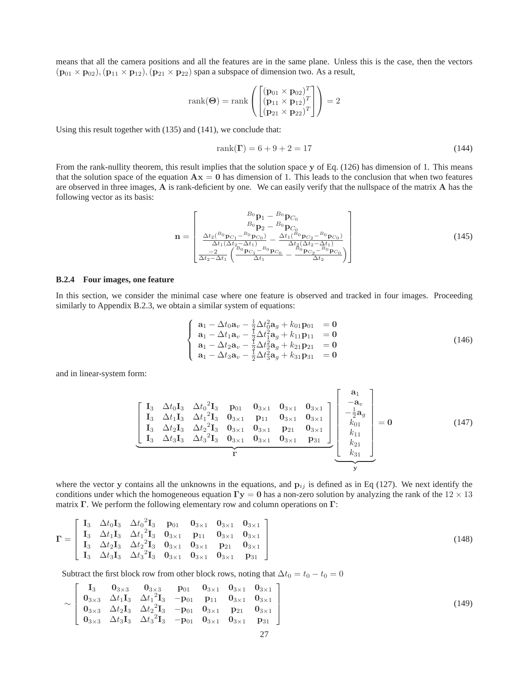means that all the camera positions and all the features are in the same plane. Unless this is the case, then the vectors  $(p_{01} \times p_{02}), (p_{11} \times p_{12}), (p_{21} \times p_{22})$  span a subspace of dimension two. As a result,

$$
rank(\mathbf{\Theta}) = rank\left(\begin{bmatrix} (\mathbf{p}_{01} \times \mathbf{p}_{02})^T \\ (\mathbf{p}_{11} \times \mathbf{p}_{12})^T \\ (\mathbf{p}_{21} \times \mathbf{p}_{22})^T \end{bmatrix}\right) = 2
$$

Using this result together with (135) and (141), we conclude that:

$$
rank(\Gamma) = 6 + 9 + 2 = 17 \tag{144}
$$

From the rank-nullity theorem, this result implies that the solution space y of Eq. (126) has dimension of 1. This means that the solution space of the equation  $Ax = 0$  has dimension of 1. This leads to the conclusion that when two features are observed in three images, A is rank-deficient by one. We can easily verify that the nullspace of the matrix A has the following vector as its basis:

$$
\mathbf{n} = \begin{bmatrix} B_0 \mathbf{p}_1 - B_0 \mathbf{p}_{C_0} \\ B_0 \mathbf{p}_2 - B_0 \mathbf{p}_{C_0} \\ \frac{\Delta t_2(^{B_0}\mathbf{p}_{C_1} - B_0 \mathbf{p}_{C_0})}{\Delta t_1 (\Delta t_2 - \Delta t_1)} - \frac{\Delta t_1(^{B_0}\mathbf{p}_{C_2} - B_0 \mathbf{p}_{C_0})}{\Delta t_2 (\Delta t_2 - \Delta t_1)} \\ \frac{-2}{\Delta t_2 - \Delta t_1} \left( \frac{B_0 \mathbf{p}_{C_1} - B_0 \mathbf{p}_{C_0}}{\Delta t_1} - \frac{B_0 \mathbf{p}_{C_2} - B_0 \mathbf{p}_{C_0}}{\Delta t_2} \right) \end{bmatrix}
$$
(145)

#### **B.2.4 Four images, one feature**

In this section, we consider the minimal case where one feature is observed and tracked in four images. Proceeding similarly to Appendix B.2.3, we obtain a similar system of equations:

$$
\begin{cases}\n\mathbf{a}_{1} - \Delta t_{0} \mathbf{a}_{v} - \frac{1}{2} \Delta t_{0}^{2} \mathbf{a}_{g} + k_{01} \mathbf{p}_{01} = \mathbf{0} \\
\mathbf{a}_{1} - \Delta t_{1} \mathbf{a}_{v} - \frac{1}{2} \Delta t_{1}^{2} \mathbf{a}_{g} + k_{11} \mathbf{p}_{11} = \mathbf{0} \\
\mathbf{a}_{1} - \Delta t_{2} \mathbf{a}_{v} - \frac{1}{2} \Delta t_{2}^{2} \mathbf{a}_{g} + k_{21} \mathbf{p}_{21} = \mathbf{0} \\
\mathbf{a}_{1} - \Delta t_{3} \mathbf{a}_{v} - \frac{1}{2} \Delta t_{3}^{2} \mathbf{a}_{g} + k_{31} \mathbf{p}_{31} = \mathbf{0}\n\end{cases}
$$
\n(146)

and in linear-system form:

$$
\begin{bmatrix}\nI_3 & \Delta t_0 I_3 & \Delta t_0^2 I_3 & p_{01} & 0_{3 \times 1} & 0_{3 \times 1} & 0_{3 \times 1} \\
I_3 & \Delta t_1 I_3 & \Delta t_1^2 I_3 & 0_{3 \times 1} & p_{11} & 0_{3 \times 1} & 0_{3 \times 1} \\
I_3 & \Delta t_2 I_3 & \Delta t_2^2 I_3 & 0_{3 \times 1} & 0_{3 \times 1} & p_{21} & 0_{3 \times 1} \\
I_3 & \Delta t_3 I_3 & \Delta t_3^2 I_3 & 0_{3 \times 1} & 0_{3 \times 1} & 0_{3 \times 1} & p_{31}\n\end{bmatrix}\n\begin{bmatrix}\na_1 \\
-a_v \\
b_{01} \\
k_{01} \\
k_{11} \\
k_{21} \\
k_{31}\n\end{bmatrix} = 0
$$
\n(147)

where the vector y contains all the unknowns in the equations, and  $p_{ij}$  is defined as in Eq (127). We next identify the conditions under which the homogeneous equation  $\Gamma y = 0$  has a non-zero solution by analyzing the rank of the  $12 \times 13$ matrix Γ. We perform the following elementary row and column operations on Γ:

$$
\mathbf{\Gamma} = \begin{bmatrix}\n\mathbf{I}_3 & \Delta t_0 \mathbf{I}_3 & \Delta t_0^2 \mathbf{I}_3 & \mathbf{p}_{01} & \mathbf{0}_{3 \times 1} & \mathbf{0}_{3 \times 1} & \mathbf{0}_{3 \times 1} \\
\mathbf{I}_3 & \Delta t_1 \mathbf{I}_3 & \Delta t_1^2 \mathbf{I}_3 & \mathbf{0}_{3 \times 1} & \mathbf{p}_{11} & \mathbf{0}_{3 \times 1} & \mathbf{0}_{3 \times 1} \\
\mathbf{I}_3 & \Delta t_2 \mathbf{I}_3 & \Delta t_2^2 \mathbf{I}_3 & \mathbf{0}_{3 \times 1} & \mathbf{0}_{3 \times 1} & \mathbf{p}_{21} & \mathbf{0}_{3 \times 1} \\
\mathbf{I}_3 & \Delta t_3 \mathbf{I}_3 & \Delta t_3^2 \mathbf{I}_3 & \mathbf{0}_{3 \times 1} & \mathbf{0}_{3 \times 1} & \mathbf{0}_{3 \times 1} & \mathbf{p}_{31}\n\end{bmatrix} (148)
$$

Subtract the first block row from other block rows, noting that  $\Delta t_0 = t_0 - t_0 = 0$ 

$$
\sim \left[\begin{array}{cccccc}\nI_3 & 0_{3\times 3} & 0_{3\times 3} & p_{01} & 0_{3\times 1} & 0_{3\times 1} \\
0_{3\times 3} & \Delta t_1 I_3 & \Delta t_1^2 I_3 & -p_{01} & p_{11} & 0_{3\times 1} & 0_{3\times 1} \\
0_{3\times 3} & \Delta t_2 I_3 & \Delta t_2^2 I_3 & -p_{01} & 0_{3\times 1} & p_{21} & 0_{3\times 1} \\
0_{3\times 3} & \Delta t_3 I_3 & \Delta t_3^2 I_3 & -p_{01} & 0_{3\times 1} & 0_{3\times 1} & p_{31}\n\end{array}\right]
$$
\n(149)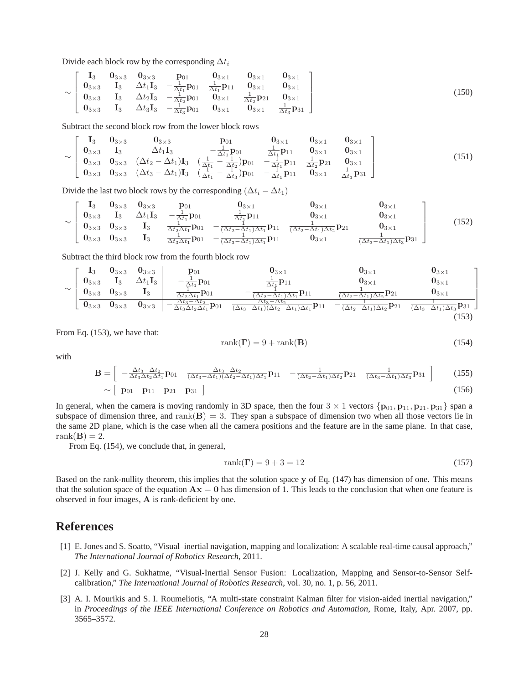Divide each block row by the corresponding  $\Delta t_i$ 

$$
\sim \left[\begin{array}{cccccc}\n\mathbf{I}_3 & \mathbf{0}_{3\times 3} & \mathbf{0}_{3\times 3} & \mathbf{p}_{01} & \mathbf{0}_{3\times 1} & \mathbf{0}_{3\times 1} & \mathbf{0}_{3\times 1} \\
\mathbf{0}_{3\times 3} & \mathbf{I}_3 & \Delta t_1 \mathbf{I}_3 & -\frac{1}{\Delta t_1} \mathbf{p}_{01} & \frac{1}{\Delta t_1} \mathbf{p}_{11} & \mathbf{0}_{3\times 1} & \mathbf{0}_{3\times 1} \\
\mathbf{0}_{3\times 3} & \mathbf{I}_3 & \Delta t_2 \mathbf{I}_3 & -\frac{1}{\Delta t_2} \mathbf{p}_{01} & \mathbf{0}_{3\times 1} & \frac{1}{\Delta t_2} \mathbf{p}_{21} & \mathbf{0}_{3\times 1} \\
\mathbf{0}_{3\times 3} & \mathbf{I}_3 & \Delta t_3 \mathbf{I}_3 & -\frac{1}{\Delta t_3} \mathbf{p}_{01} & \mathbf{0}_{3\times 1} & \mathbf{0}_{3\times 1} & \frac{1}{\Delta t_3} \mathbf{p}_{31}\n\end{array}\right] (150)
$$

Subtract the second block row from the lower block rows

$$
\sim \left[\begin{array}{ccccccccc} \mathbf{I}_3 & \mathbf{0}_{3\times 3} & \mathbf{0}_{3\times 3} & \mathbf{p}_{01} & \mathbf{0}_{3\times 1} & \mathbf{0}_{3\times 1} \\ \mathbf{0}_{3\times 3} & \mathbf{I}_3 & \Delta t_1 \mathbf{I}_3 & -\frac{1}{\Delta t_1} \mathbf{p}_{01} & \frac{1}{\Delta t_1} \mathbf{p}_{11} & \mathbf{0}_{3\times 1} & \mathbf{0}_{3\times 1} \\ \mathbf{0}_{3\times 3} & \mathbf{0}_{3\times 3} & (\Delta t_2 - \Delta t_1) \mathbf{I}_3 & (\frac{1}{\Delta t_1} - \frac{1}{\Delta t_2}) \mathbf{p}_{01} & -\frac{1}{\Delta t_1} \mathbf{p}_{11} & \frac{1}{\Delta t_2} \mathbf{p}_{21} & \mathbf{0}_{3\times 1} \\ \mathbf{0}_{3\times 3} & \mathbf{0}_{3\times 3} & (\Delta t_3 - \Delta t_1) \mathbf{I}_3 & (\frac{1}{\Delta t_1} - \frac{1}{\Delta t_3}) \mathbf{p}_{01} & -\frac{1}{\Delta t_1} \mathbf{p}_{11} & \mathbf{0}_{3\times 1} & \frac{1}{\Delta t_3} \mathbf{p}_{31} \end{array}\right] \tag{151}
$$

Divide the last two block rows by the corresponding  $(\Delta t_i - \Delta t_1)$ 

$$
\sim \left[\begin{array}{ccccccccc} \mathbf{I}_3 & \mathbf{0}_{3\times 3} & \mathbf{0}_{3\times 3} & \mathbf{p}_{01} & \mathbf{0}_{3\times 1} & \mathbf{0}_{3\times 1} & \mathbf{0}_{3\times 1} \\ \mathbf{0}_{3\times 3} & \mathbf{I}_3 & \Delta t_1 \mathbf{I}_3 & -\frac{1}{\Delta t_1} \mathbf{p}_{01} & \frac{1}{\Delta t_1} \mathbf{p}_{11} & \mathbf{0}_{3\times 1} & \mathbf{0}_{3\times 1} \\ \mathbf{0}_{3\times 3} & \mathbf{0}_{3\times 3} & \mathbf{I}_3 & \frac{1}{\Delta t_2 \Delta t_1} \mathbf{p}_{01} & -\frac{1}{(\Delta t_2 - \Delta t_1) \Delta t_1} \mathbf{p}_{11} & \frac{1}{(\Delta t_2 - \Delta t_1) \Delta t_2} \mathbf{p}_{21} & \mathbf{0}_{3\times 1} \\ \mathbf{0}_{3\times 3} & \mathbf{0}_{3\times 3} & \mathbf{I}_3 & \frac{1}{\Delta t_3 \Delta t_1} \mathbf{p}_{01} & -\frac{1}{(\Delta t_3 - \Delta t_1) \Delta t_1} \mathbf{p}_{11} & \mathbf{0}_{3\times 1} & \frac{1}{(\Delta t_3 - \Delta t_1) \Delta t_3} \mathbf{p}_{31} \end{array}\right] \tag{152}
$$

Subtract the third block row from the fourth block row

$$
\sim\left[\begin{array}{cccc|c}I_3 & 0_{3\times 3} & 0_{3\times 3} & p_{01} & 0_{3\times 1} & 0_{3\times 1} & 0_{3\times 1} \\ 0_{3\times 3} & I_3 & \Delta t_1I_3 & -\frac{1}{\Delta t_1}p_{01} & \frac{1}{\Delta t_1}p_{11} & 0_{3\times 1} & 0_{3\times 1} \\ 0_{3\times 3} & 0_{3\times 3} & I_3 & \frac{1}{\Delta t_2\Delta t_1}p_{01} & -\frac{1}{(\Delta t_2-\Delta t_1)\Delta t_1}p_{11} & \frac{1}{(\Delta t_2-\Delta t_1)\Delta t_2}p_{21} & 0_{3\times 1} \\ \hline 0_{3\times 3} & 0_{3\times 3} & 0_{3\times 3} & -\frac{\Delta t_3-\Delta t_2}{\Delta t_3\Delta t_2\Delta t_1}p_{01} & \frac{\Delta t_3-\Delta t_2}{(\Delta t_3-\Delta t_1)(\Delta t_2-\Delta t_1)\Delta t_1}p_{11} & -\frac{1}{(\Delta t_2-\Delta t_1)\Delta t_2}p_{21} & \frac{1}{(\Delta t_3-\Delta t_1)\Delta t_3}p_{31} \end{array}\right]\n\tag{153}
$$

From Eq. (153), we have that:

$$
rank(\Gamma) = 9 + rank(\mathbf{B})
$$
\n(154)

with

$$
\mathbf{B} = \begin{bmatrix} -\frac{\Delta t_3 - \Delta t_2}{\Delta t_3 \Delta t_2 \Delta t_1} \mathbf{p}_{01} & \frac{\Delta t_3 - \Delta t_2}{(\Delta t_3 - \Delta t_1)(\Delta t_2 - \Delta t_1) \Delta t_1} \mathbf{p}_{11} & -\frac{1}{(\Delta t_2 - \Delta t_1) \Delta t_2} \mathbf{p}_{21} & \frac{1}{(\Delta t_3 - \Delta t_1) \Delta t_3} \mathbf{p}_{31} \end{bmatrix}
$$
(155)  
\n
$$
\sim \begin{bmatrix} \mathbf{p}_{01} & \mathbf{p}_{11} & \mathbf{p}_{21} & \mathbf{p}_{31} \end{bmatrix}
$$

In general, when the camera is moving randomly in 3D space, then the four  $3 \times 1$  vectors  $\{p_{01}, p_{11}, p_{21}, p_{31}\}$  span a subspace of dimension three, and  $\text{rank}(\mathbf{B}) = 3$ . They span a subspace of dimension two when all those vectors lie in the same 2D plane, which is the case when all the camera positions and the feature are in the same plane. In that case, rank $(\mathbf{B}) = 2$ .

From Eq. (154), we conclude that, in general,

$$
rank(\Gamma) = 9 + 3 = 12 \tag{157}
$$

Based on the rank-nullity theorem, this implies that the solution space y of Eq. (147) has dimension of one. This means that the solution space of the equation  $Ax = 0$  has dimension of 1. This leads to the conclusion that when one feature is observed in four images, A is rank-deficient by one.

### **References**

- [1] E. Jones and S. Soatto, "Visual–inertial navigation, mapping and localization: A scalable real-time causal approach," *The International Journal of Robotics Research*, 2011.
- [2] J. Kelly and G. Sukhatme, "Visual-Inertial Sensor Fusion: Localization, Mapping and Sensor-to-Sensor Selfcalibration," *The International Journal of Robotics Research*, vol. 30, no. 1, p. 56, 2011.
- [3] A. I. Mourikis and S. I. Roumeliotis, "A multi-state constraint Kalman filter for vision-aided inertial navigation," in *Proceedings of the IEEE International Conference on Robotics and Automation*, Rome, Italy, Apr. 2007, pp. 3565–3572.